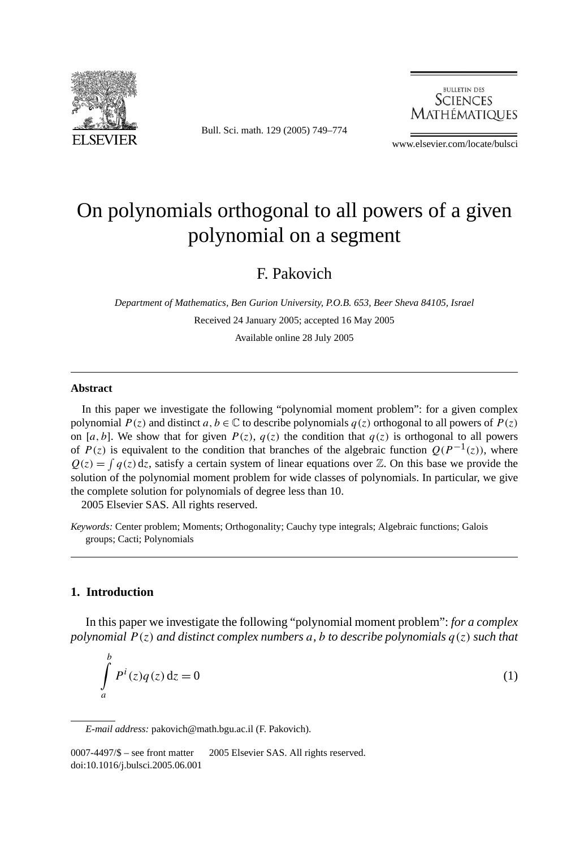

Bull. Sci. math. 129 (2005) 749–774



www.elsevier.com/locate/bulsci

# On polynomials orthogonal to all powers of a given polynomial on a segment

# F. Pakovich

*Department of Mathematics, Ben Gurion University, P.O.B. 653, Beer Sheva 84105, Israel* Received 24 January 2005; accepted 16 May 2005 Available online 28 July 2005

#### **Abstract**

In this paper we investigate the following "polynomial moment problem": for a given complex polynomial  $P(z)$  and distinct  $a, b \in \mathbb{C}$  to describe polynomials  $q(z)$  orthogonal to all powers of  $P(z)$ on [a, b]. We show that for given  $P(z)$ ,  $q(z)$  the condition that  $q(z)$  is orthogonal to all powers of *P(z)* is equivalent to the condition that branches of the algebraic function  $Q(P^{-1}(z))$ , where  $Q(z) = \int q(z) dz$ , satisfy a certain system of linear equations over Z. On this base we provide the solution of the polynomial moment problem for wide classes of polynomials. In particular, we give the complete solution for polynomials of degree less than 10.

2005 Elsevier SAS. All rights reserved.

*Keywords:* Center problem; Moments; Orthogonality; Cauchy type integrals; Algebraic functions; Galois groups; Cacti; Polynomials

#### **1. Introduction**

*b*

In this paper we investigate the following "polynomial moment problem": *for a complex polynomial P (z) and distinct complex numbers a, b to describe polynomials q(z) such that*

$$
\int_{a}^{b} P^{i}(z)q(z) dz = 0
$$
\n(1)

*E-mail address:* pakovich@math.bgu.ac.il (F. Pakovich).

<sup>0007-4497/\$ -</sup> see front matter © 2005 Elsevier SAS. All rights reserved. doi:10.1016/j.bulsci.2005.06.001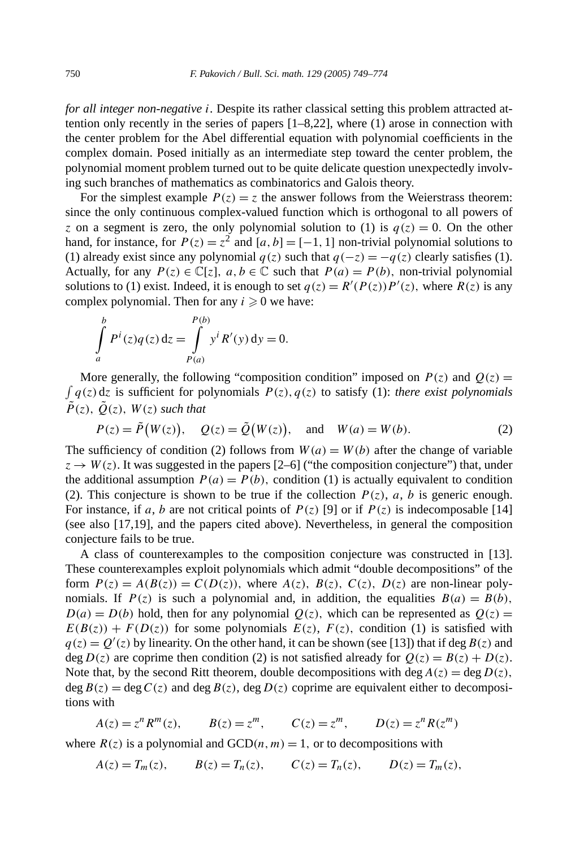*for all integer non-negative i.* Despite its rather classical setting this problem attracted attention only recently in the series of papers [1–8,22], where (1) arose in connection with the center problem for the Abel differential equation with polynomial coefficients in the complex domain. Posed initially as an intermediate step toward the center problem, the polynomial moment problem turned out to be quite delicate question unexpectedly involving such branches of mathematics as combinatorics and Galois theory.

For the simplest example  $P(z) = z$  the answer follows from the Weierstrass theorem: since the only continuous complex-valued function which is orthogonal to all powers of *z* on a segment is zero, the only polynomial solution to (1) is  $q(z) = 0$ . On the other hand, for instance, for  $P(z) = z^2$  and  $[a, b] = [-1, 1]$  non-trivial polynomial solutions to (1) already exist since any polynomial  $q(z)$  such that  $q(-z) = -q(z)$  clearly satisfies (1). Actually, for any  $P(z) \in \mathbb{C}[z]$ ,  $a, b \in \mathbb{C}$  such that  $P(a) = P(b)$ , non-trivial polynomial solutions to (1) exist. Indeed, it is enough to set  $q(z) = R'(P(z))P'(z)$ , where  $R(z)$  is any complex polynomial. Then for any  $i \geq 0$  we have:

$$
\int_{a}^{b} P^{i}(z)q(z) dz = \int_{P(a)}^{P(b)} y^{i} R'(y) dy = 0.
$$

 $\int q(z) dz$  is sufficient for polynomials  $P(z)$ ,  $q(z)$  to satisfy (1): *there exist polynomials* More generally, the following "composition condition" imposed on  $P(z)$  and  $Q(z)$  =  $\tilde{P}(z)$ ,  $\tilde{O}(z)$ ,  $W(z)$  *such that* 

$$
P(z) = \tilde{P}(W(z)), \quad Q(z) = \tilde{Q}(W(z)), \quad \text{and} \quad W(a) = W(b).
$$
 (2)

The sufficiency of condition (2) follows from  $W(a) = W(b)$  after the change of variable  $z \rightarrow W(z)$ . It was suggested in the papers [2–6] ("the composition conjecture") that, under the additional assumption  $P(a) = P(b)$ , condition (1) is actually equivalent to condition (2). This conjecture is shown to be true if the collection  $P(z)$ ,  $a$ ,  $b$  is generic enough. For instance, if *a*, *b* are not critical points of  $P(z)$  [9] or if  $P(z)$  is indecomposable [14] (see also [17,19], and the papers cited above). Nevertheless, in general the composition conjecture fails to be true.

A class of counterexamples to the composition conjecture was constructed in [13]. These counterexamples exploit polynomials which admit "double decompositions" of the form  $P(z) = A(B(z)) = C(D(z))$ , where  $A(z)$ ,  $B(z)$ ,  $C(z)$ ,  $D(z)$  are non-linear polynomials. If  $P(z)$  is such a polynomial and, in addition, the equalities  $B(a) = B(b)$ ,  $D(a) = D(b)$  hold, then for any polynomial  $Q(z)$ , which can be represented as  $Q(z)$  $E(B(z)) + F(D(z))$  for some polynomials  $E(z)$ ,  $F(z)$ , condition (1) is satisfied with  $q(z) = Q'(z)$  by linearity. On the other hand, it can be shown (see [13]) that if deg  $B(z)$  and deg  $D(z)$  are coprime then condition (2) is not satisfied already for  $Q(z) = B(z) + D(z)$ . Note that, by the second Ritt theorem, double decompositions with deg  $A(z) = \text{deg } D(z)$ , deg  $B(z) = \deg C(z)$  and  $\deg B(z)$ ,  $\deg D(z)$  coprime are equivalent either to decompositions with

$$
A(z) = z^n R^m(z)
$$
,  $B(z) = z^m$ ,  $C(z) = z^m$ ,  $D(z) = z^n R(z^m)$ 

where  $R(z)$  is a polynomial and  $GCD(n, m) = 1$ , or to decompositions with

$$
A(z) = T_m(z)
$$
,  $B(z) = T_n(z)$ ,  $C(z) = T_n(z)$ ,  $D(z) = T_m(z)$ ,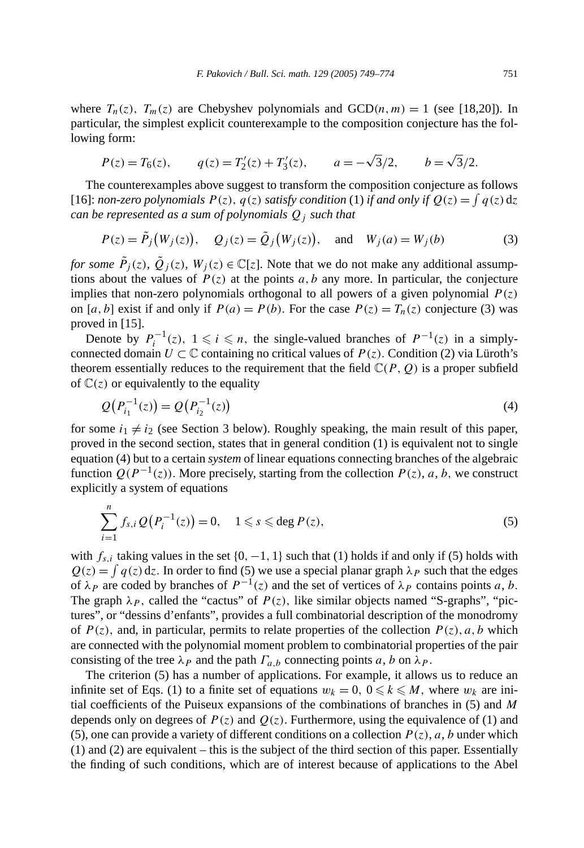where  $T_n(z)$ ,  $T_m(z)$  are Chebyshev polynomials and  $GCD(n, m) = 1$  (see [18,20]). In particular, the simplest explicit counterexample to the composition conjecture has the following form:

$$
P(z) = T_6(z)
$$
,  $q(z) = T'_2(z) + T'_3(z)$ ,  $a = -\sqrt{3}/2$ ,  $b = \sqrt{3}/2$ .

The counterexamples above suggest to transform the composition conjecture as follows [16]: *non-zero polynomials*  $P(z)$ ,  $q(z)$  *satisfy condition* (1) *if and only if*  $Q(z) = \int q(z) dz$ *can be represented as a sum of polynomials Qj such that*

$$
P(z) = \tilde{P}_j(W_j(z)), \quad Q_j(z) = \tilde{Q}_j(W_j(z)), \quad \text{and} \quad W_j(a) = W_j(b) \tag{3}
$$

*for some*  $\tilde{P}_j(z)$ ,  $\tilde{Q}_j(z)$ ,  $W_j(z) \in \mathbb{C}[z]$ . Note that we do not make any additional assumptions about the values of  $P(z)$  at the points  $a, b$  any more. In particular, the conjecture implies that non-zero polynomials orthogonal to all powers of a given polynomial *P (z)* on [*a*, *b*] exist if and only if  $P(a) = P(b)$ . For the case  $P(z) = T_n(z)$  conjecture (3) was proved in [15].

Denote by  $P_i^{-1}(z)$ ,  $1 \le i \le n$ , the single-valued branches of  $P^{-1}(z)$  in a simplyconnected domain  $U \subset \mathbb{C}$  containing no critical values of  $P(z)$ . Condition (2) via Lüroth's theorem essentially reduces to the requirement that the field  $\mathbb{C}(P, Q)$  is a proper subfield of  $\mathbb{C}(z)$  or equivalently to the equality

$$
Q(P_{i_1}^{-1}(z)) = Q(P_{i_2}^{-1}(z))
$$
\n(4)

for some  $i_1 \neq i_2$  (see Section 3 below). Roughly speaking, the main result of this paper, proved in the second section, states that in general condition (1) is equivalent not to single equation (4) but to a certain *system* of linear equations connecting branches of the algebraic function  $Q(P^{-1}(z))$ . More precisely, starting from the collection  $P(z)$ , *a*, *b*, we construct explicitly a system of equations

$$
\sum_{i=1}^{n} f_{s,i} Q(P_i^{-1}(z)) = 0, \quad 1 \leq s \leq \text{deg } P(z), \tag{5}
$$

with  $f_{s,i}$  taking values in the set  $\{0, -1, 1\}$  such that (1) holds if and only if (5) holds with  $Q(z) = \int q(z) dz$ . In order to find (5) we use a special planar graph  $\lambda_P$  such that the edges of  $\lambda_P$  are coded by branches of  $P^{-1}(z)$  and the set of vertices of  $\lambda_P$  contains points *a*, *b*. The graph  $\lambda_p$ , called the "cactus" of  $P(z)$ , like similar objects named "S-graphs", "pictures", or "dessins d'enfants", provides a full combinatorial description of the monodromy of  $P(z)$ , and, in particular, permits to relate properties of the collection  $P(z)$ , a, b which are connected with the polynomial moment problem to combinatorial properties of the pair consisting of the tree  $\lambda_P$  and the path  $\Gamma_{a,b}$  connecting points *a*, *b* on  $\lambda_P$ .

The criterion (5) has a number of applications. For example, it allows us to reduce an infinite set of Eqs. (1) to a finite set of equations  $w_k = 0$ ,  $0 \le k \le M$ , where  $w_k$  are initial coefficients of the Puiseux expansions of the combinations of branches in (5) and *M* depends only on degrees of  $P(z)$  and  $Q(z)$ . Furthermore, using the equivalence of (1) and (5), one can provide a variety of different conditions on a collection  $P(z)$ , *a*, *b* under which (1) and (2) are equivalent – this is the subject of the third section of this paper. Essentially the finding of such conditions, which are of interest because of applications to the Abel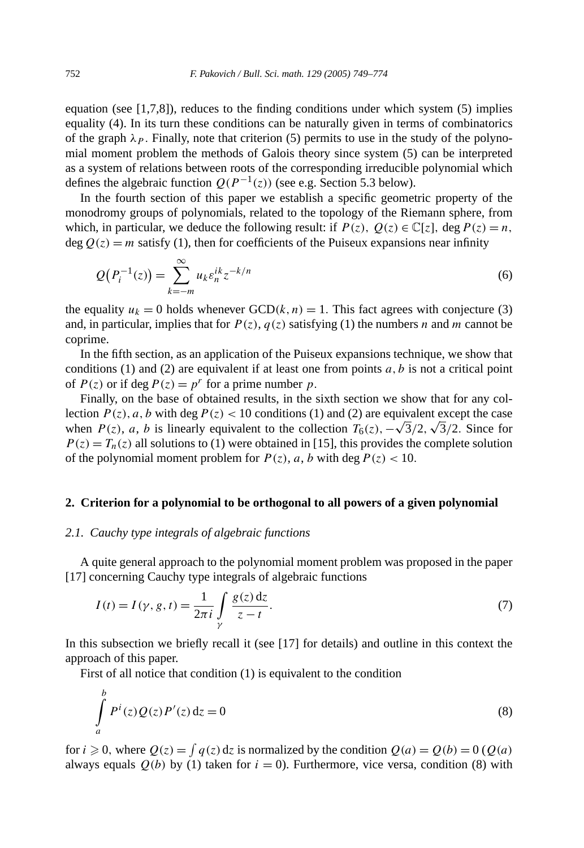equation (see  $[1,7,8]$ ), reduces to the finding conditions under which system (5) implies equality (4). In its turn these conditions can be naturally given in terms of combinatorics of the graph  $\lambda_p$ . Finally, note that criterion (5) permits to use in the study of the polynomial moment problem the methods of Galois theory since system (5) can be interpreted as a system of relations between roots of the corresponding irreducible polynomial which defines the algebraic function  $Q(P^{-1}(z))$  (see e.g. Section 5.3 below).

In the fourth section of this paper we establish a specific geometric property of the monodromy groups of polynomials, related to the topology of the Riemann sphere, from which, in particular, we deduce the following result: if  $P(z)$ ,  $Q(z) \in \mathbb{C}[z]$ , deg  $P(z) = n$ ,  $\deg Q(z) = m$  satisfy (1), then for coefficients of the Puiseux expansions near infinity

$$
Q(P_i^{-1}(z)) = \sum_{k=-m}^{\infty} u_k \varepsilon_n^{ik} z^{-k/n}
$$
 (6)

the equality  $u_k = 0$  holds whenever  $GCD(k, n) = 1$ . This fact agrees with conjecture (3) and, in particular, implies that for  $P(z)$ ,  $q(z)$  satisfying (1) the numbers *n* and *m* cannot be coprime.

In the fifth section, as an application of the Puiseux expansions technique, we show that conditions  $(1)$  and  $(2)$  are equivalent if at least one from points  $a, b$  is not a critical point of  $P(z)$  or if deg  $P(z) = p^r$  for a prime number p.

Finally, on the base of obtained results, in the sixth section we show that for any collection  $P(z)$ , a, b with deg  $P(z)$  < 10 conditions (1) and (2) are equivalent except the case lection *P*(*z*), *a*, *b* with deg *P*(*z*) < 10 conditions (1) and (2) are equivalent except the case when *P*(*z*), *a*, *b* is linearly equivalent to the collection  $T_6(z)$ , −√3/2, √3/2. Since for  $P(z) = T_n(z)$  all solutions to (1) were obtained in [15], this provides the complete solution of the polynomial moment problem for  $P(z)$ ,  $a$ ,  $b$  with deg  $P(z) < 10$ .

#### **2. Criterion for a polynomial to be orthogonal to all powers of a given polynomial**

#### *2.1. Cauchy type integrals of algebraic functions*

A quite general approach to the polynomial moment problem was proposed in the paper [17] concerning Cauchy type integrals of algebraic functions

$$
I(t) = I(\gamma, g, t) = \frac{1}{2\pi i} \int_{\gamma} \frac{g(z) dz}{z - t}.
$$
 (7)

In this subsection we briefly recall it (see [17] for details) and outline in this context the approach of this paper.

First of all notice that condition (1) is equivalent to the condition

$$
\int_{a}^{b} P^{i}(z)Q(z)P'(z) dz = 0
$$
\n(8)

for  $i \ge 0$ , where  $Q(z) = \int q(z) dz$  is normalized by the condition  $Q(a) = Q(b) = 0$  ( $Q(a)$ ) always equals  $Q(b)$  by (1) taken for  $i = 0$ ). Furthermore, vice versa, condition (8) with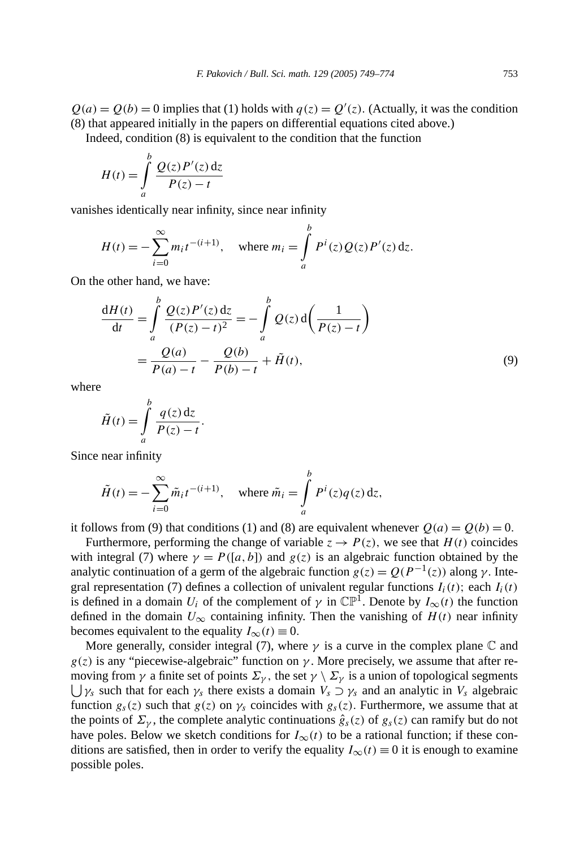$Q(a) = Q(b) = 0$  implies that (1) holds with  $q(z) = Q'(z)$ . (Actually, it was the condition (8) that appeared initially in the papers on differential equations cited above.)

Indeed, condition (8) is equivalent to the condition that the function

$$
H(t) = \int_{a}^{b} \frac{Q(z)P'(z) dz}{P(z) - t}
$$

vanishes identically near infinity, since near infinity

$$
H(t) = -\sum_{i=0}^{\infty} m_i t^{-(i+1)}, \text{ where } m_i = \int_a^b P^i(z) Q(z) P'(z) dz.
$$

On the other hand, we have:

$$
\frac{dH(t)}{dt} = \int_{a}^{b} \frac{Q(z)P'(z) dz}{(P(z) - t)^2} = -\int_{a}^{b} Q(z) d\left(\frac{1}{P(z) - t}\right)
$$

$$
= \frac{Q(a)}{P(a) - t} - \frac{Q(b)}{P(b) - t} + \tilde{H}(t),
$$
(9)

where

$$
\tilde{H}(t) = \int_{a}^{b} \frac{q(z) dz}{P(z) - t}.
$$

Since near infinity

$$
\tilde{H}(t) = -\sum_{i=0}^{\infty} \tilde{m}_i t^{-(i+1)}, \quad \text{where } \tilde{m}_i = \int_a^b P^i(z) q(z) \, dz,
$$

it follows from (9) that conditions (1) and (8) are equivalent whenever  $Q(a) = Q(b) = 0$ .

Furthermore, performing the change of variable  $z \to P(z)$ , we see that  $H(t)$  coincides with integral (7) where  $\gamma = P([a, b])$  and  $g(z)$  is an algebraic function obtained by the analytic continuation of a germ of the algebraic function  $g(z) = Q(P^{-1}(z))$  along  $\gamma$ . Integral representation (7) defines a collection of univalent regular functions  $I_i(t)$ ; each  $I_i(t)$ is defined in a domain  $U_i$  of the complement of  $\gamma$  in  $\mathbb{CP}^1$ . Denote by  $I_{\infty}(t)$  the function defined in the domain  $U_{\infty}$  containing infinity. Then the vanishing of  $H(t)$  near infinity becomes equivalent to the equality  $I_{\infty}(t) \equiv 0$ .

More generally, consider integral (7), where  $\gamma$  is a curve in the complex plane  $\mathbb C$  and  $g(z)$  is any "piecewise-algebraic" function on  $\gamma$ . More precisely, we assume that after re- $\bigcup \gamma_s$  such that for each  $\gamma_s$  there exists a domain  $V_s \supset \gamma_s$  and an analytic in  $V_s$  algebraic moving from *γ* a finite set of points  $\Sigma_{\gamma}$ , the set  $\gamma \setminus \Sigma_{\gamma}$  is a union of topological segments function  $g_s(z)$  such that  $g(z)$  on  $\gamma_s$  coincides with  $g_s(z)$ . Furthermore, we assume that at the points of  $\Sigma_{\gamma}$ , the complete analytic continuations  $\hat{g}_s(z)$  of  $g_s(z)$  can ramify but do not have poles. Below we sketch conditions for  $I_{\infty}(t)$  to be a rational function; if these conditions are satisfied, then in order to verify the equality  $I_{\infty}(t) \equiv 0$  it is enough to examine possible poles.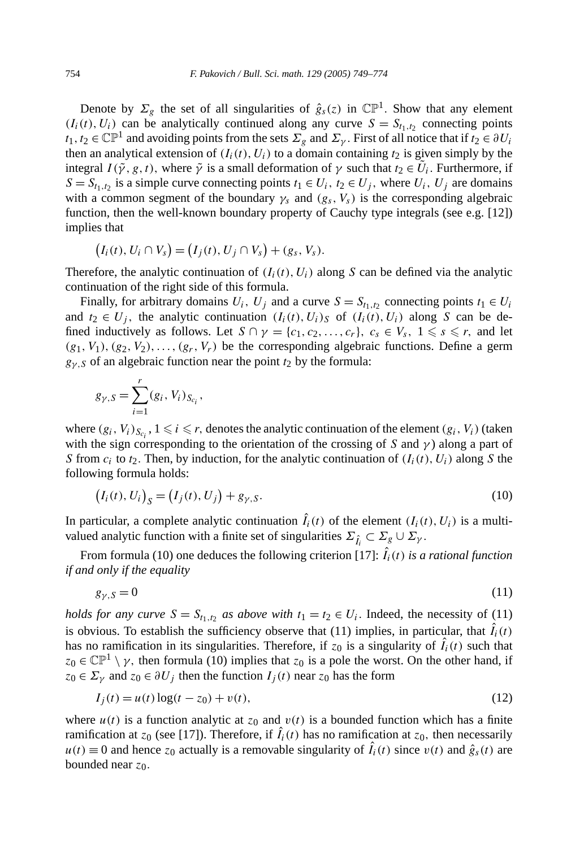Denote by  $\Sigma$ <sub>*e*</sub> the set of all singularities of  $\hat{g}_s(z)$  in  $\mathbb{CP}^1$ . Show that any element  $(I_i(t), U_i)$  can be analytically continued along any curve  $S = S_{t_1,t_2}$  connecting points  $t_1, t_2 \in \mathbb{CP}^1$  and avoiding points from the sets  $\Sigma_g$  and  $\Sigma_g$ . First of all notice that if  $t_2 \in \partial U_i$ then an analytical extension of  $(I_i(t), U_i)$  to a domain containing  $t_2$  is given simply by the integral  $I(\tilde{\gamma}, g, t)$ , where  $\tilde{\gamma}$  is a small deformation of  $\gamma$  such that  $t_2 \in \tilde{U}_i$ . Furthermore, if  $S = S_{t_1,t_2}$  is a simple curve connecting points  $t_1 \in U_i$ ,  $t_2 \in U_j$ , where  $U_i$ ,  $U_j$  are domains with a common segment of the boundary  $\gamma_s$  and  $(g_s, V_s)$  is the corresponding algebraic function, then the well-known boundary property of Cauchy type integrals (see e.g. [12]) implies that

$$
(I_i(t), U_i \cap V_s) = (I_j(t), U_j \cap V_s) + (g_s, V_s).
$$

Therefore, the analytic continuation of  $(I_i(t), U_i)$  along *S* can be defined via the analytic continuation of the right side of this formula.

Finally, for arbitrary domains  $U_i$ ,  $U_j$  and a curve  $S = S_{t_1,t_2}$  connecting points  $t_1 \in U_i$ and  $t_2 \in U_i$ , the analytic continuation  $(I_i(t), U_i)$  of  $(I_i(t), U_i)$  along *S* can be defined inductively as follows. Let  $S \cap \gamma = \{c_1, c_2, ..., c_r\}$ ,  $c_s \in V_s$ ,  $1 \le s \le r$ , and let  $(g_1, V_1), (g_2, V_2), \ldots, (g_r, V_r)$  be the corresponding algebraic functions. Define a germ  $g_{\gamma,S}$  of an algebraic function near the point  $t_2$  by the formula:

$$
g_{\gamma,S} = \sum_{i=1}^r (g_i, V_i)_{S_{c_i}},
$$

where  $(g_i, V_i)_{S_{c_i}}$ ,  $1 \le i \le r$ , denotes the analytic continuation of the element  $(g_i, V_i)$  (taken with the sign corresponding to the orientation of the crossing of *S* and  $\gamma$ ) along a part of *S* from  $c_i$  to  $t_2$ . Then, by induction, for the analytic continuation of  $(I_i(t), U_i)$  along *S* the following formula holds:

$$
(I_i(t), U_i)_S = (I_j(t), U_j) + g_{\gamma, S}.
$$
\n(10)

In particular, a complete analytic continuation  $\hat{I}_i(t)$  of the element  $(I_i(t), U_i)$  is a multivalued analytic function with a finite set of singularities  $\Sigma_{\hat{i}} \subset \Sigma_g \cup \Sigma_{\gamma}$ .

From formula (10) one deduces the following criterion [17]:  $\hat{I}_i(t)$  *is a rational function if and only if the equality*

$$
g_{\gamma, S} = 0 \tag{11}
$$

*holds for any curve*  $S = S_{t_1,t_2}$  *as above with*  $t_1 = t_2 \in U_i$ . Indeed, the necessity of (11) is obvious. To establish the sufficiency observe that  $(11)$  implies, in particular, that  $\hat{I}_i(t)$ has no ramification in its singularities. Therefore, if  $z_0$  is a singularity of  $\hat{I}_i(t)$  such that  $z_0 \in \mathbb{CP}^1 \setminus \gamma$ , then formula (10) implies that  $z_0$  is a pole the worst. On the other hand, if  $z_0 \in \Sigma_\gamma$  and  $z_0 \in \partial U_j$  then the function  $I_j(t)$  near  $z_0$  has the form

$$
I_j(t) = u(t)\log(t - z_0) + v(t),
$$
\n(12)

where  $u(t)$  is a function analytic at  $z_0$  and  $v(t)$  is a bounded function which has a finite ramification at  $z_0$  (see [17]). Therefore, if  $\hat{I}_i(t)$  has no ramification at  $z_0$ , then necessarily  $u(t) \equiv 0$  and hence  $z_0$  actually is a removable singularity of  $\hat{I}_i(t)$  since  $v(t)$  and  $\hat{g}_s(t)$  are bounded near  $z_0$ .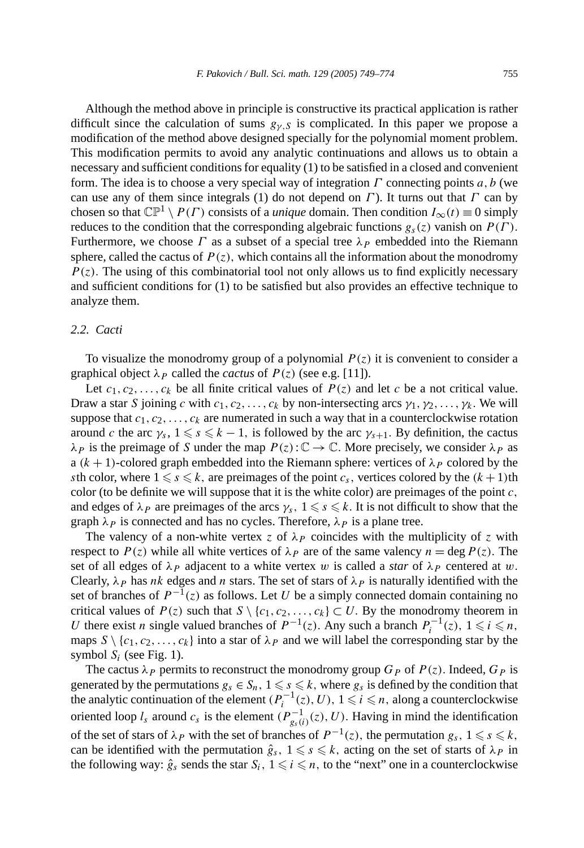Although the method above in principle is constructive its practical application is rather difficult since the calculation of sums  $g_{\gamma,S}$  is complicated. In this paper we propose a modification of the method above designed specially for the polynomial moment problem. This modification permits to avoid any analytic continuations and allows us to obtain a necessary and sufficient conditions for equality (1) to be satisfied in a closed and convenient form. The idea is to choose a very special way of integration *Γ* connecting points *a,b* (we can use any of them since integrals (1) do not depend on *Γ* ). It turns out that *Γ* can by chosen so that  $\mathbb{CP}^1 \setminus P(\Gamma)$  consists of a *unique* domain. Then condition  $I_\infty(t) \equiv 0$  simply reduces to the condition that the corresponding algebraic functions  $g_s(z)$  vanish on  $P(\Gamma)$ . Furthermore, we choose *Γ* as a subset of a special tree *λP* embedded into the Riemann sphere, called the cactus of  $P(z)$ , which contains all the information about the monodromy  $P(z)$ . The using of this combinatorial tool not only allows us to find explicitly necessary and sufficient conditions for (1) to be satisfied but also provides an effective technique to analyze them.

#### *2.2. Cacti*

To visualize the monodromy group of a polynomial *P (z)* it is convenient to consider a graphical object  $\lambda_P$  called the *cactus* of  $P(z)$  (see e.g. [11]).

Let  $c_1, c_2, \ldots, c_k$  be all finite critical values of  $P(z)$  and let *c* be a not critical value. Draw a star *S* joining *c* with  $c_1, c_2, \ldots, c_k$  by non-intersecting arcs  $\gamma_1, \gamma_2, \ldots, \gamma_k$ . We will suppose that  $c_1, c_2, \ldots, c_k$  are numerated in such a way that in a counterclockwise rotation around *c* the arc  $\gamma_s$ ,  $1 \le s \le k - 1$ , is followed by the arc  $\gamma_{s+1}$ . By definition, the cactus *λ P* is the preimage of *S* under the map  $P(z): \mathbb{C} \to \mathbb{C}$ . More precisely, we consider *λ P* as a  $(k + 1)$ -colored graph embedded into the Riemann sphere: vertices of  $\lambda_P$  colored by the *s*th color, where  $1 \le s \le k$ , are preimages of the point *c<sub>s</sub>*, vertices colored by the  $(k + 1)$ th color (to be definite we will suppose that it is the white color) are preimages of the point *c,* and edges of  $\lambda_P$  are preimages of the arcs  $\gamma_s$ ,  $1 \leq s \leq k$ . It is not difficult to show that the graph  $\lambda_P$  is connected and has no cycles. Therefore,  $\lambda_P$  is a plane tree.

The valency of a non-white vertex *z* of  $\lambda_P$  coincides with the multiplicity of *z* with respect to  $P(z)$  while all white vertices of  $\lambda_P$  are of the same valency  $n = \deg P(z)$ . The set of all edges of  $\lambda_p$  adjacent to a white vertex *w* is called a *star* of  $\lambda_p$  centered at *w*. Clearly,  $\lambda_P$  has *nk* edges and *n* stars. The set of stars of  $\lambda_P$  is naturally identified with the set of branches of  $P^{-1}(z)$  as follows. Let *U* be a simply connected domain containing no critical values of  $P(z)$  such that  $S \setminus \{c_1, c_2, \ldots, c_k\} \subset U$ . By the monodromy theorem in *U* there exist *n* single valued branches of  $P^{-1}(z)$ . Any such a branch  $P_i^{-1}(z)$ ,  $1 \le i \le n$ , maps  $S \setminus \{c_1, c_2, \ldots, c_k\}$  into a star of  $\lambda_P$  and we will label the corresponding star by the symbol  $S_i$  (see Fig. 1).

The cactus  $\lambda_P$  permits to reconstruct the monodromy group  $G_P$  of  $P(z)$ . Indeed,  $G_P$  is generated by the permutations  $g_s \in S_n$ ,  $1 \leq s \leq k$ , where  $g_s$  is defined by the condition that the analytic continuation of the element  $(P_i^{-1}(z), U)$ ,  $1 \le i \le n$ , along a counterclockwise oriented loop  $l_s$  around  $c_s$  is the element  $(P_{g_s(i)}^{-1}(z), U)$ . Having in mind the identification of the set of stars of  $\lambda_P$  with the set of branches of  $P^{-1}(z)$ , the permutation  $g_s$ ,  $1 \leq s \leq k$ , can be identified with the permutation  $\hat{g}_s$ ,  $1 \leq s \leq k$ , acting on the set of starts of  $\lambda_P$  in the following way:  $\hat{g}_s$  sends the star  $S_i$ ,  $1 \leq i \leq n$ , to the "next" one in a counterclockwise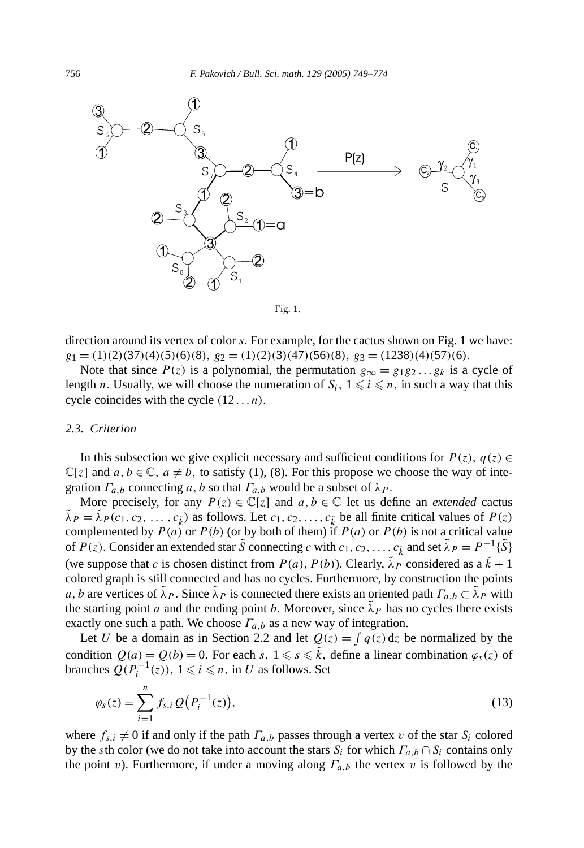



direction around its vertex of color *s.* For example, for the cactus shown on Fig. 1 we have:  $g_1 = (1)(2)(37)(4)(5)(6)(8)$ ,  $g_2 = (1)(2)(3)(47)(56)(8)$ ,  $g_3 = (1238)(4)(57)(6)$ .

Note that since  $P(z)$  is a polynomial, the permutation  $g_{\infty} = g_1 g_2 \dots g_k$  is a cycle of length *n*. Usually, we will choose the numeration of  $S_i$ ,  $1 \leq i \leq n$ , in such a way that this cycle coincides with the cycle *(*12 *. . . n).*

#### *2.3. Criterion*

In this subsection we give explicit necessary and sufficient conditions for  $P(z)$ ,  $q(z) \in$  $\mathbb{C}[z]$  and  $a, b \in \mathbb{C}$ ,  $a \neq b$ , to satisfy (1), (8). For this propose we choose the way of integration  $\Gamma_{a,b}$  connecting a, b so that  $\Gamma_{a,b}$  would be a subset of  $\lambda_P$ .

More precisely, for any  $P(z) \in \mathbb{C}[z]$  and  $a, b \in \mathbb{C}$  let us define an *extended* cactus  $\lambda_P = \lambda_P(c_1, c_2, \ldots, c_{\tilde{k}})$  as follows. Let  $c_1, c_2, \ldots, c_{\tilde{k}}$  be all finite critical values of  $P(z)$ complemented by  $P(a)$  or  $P(b)$  (or by both of them) if  $P(a)$  or  $P(b)$  is not a critical value of  $P(z)$ . Consider an extended star  $\tilde{S}$  connecting *c* with  $c_1, c_2, \ldots, c_{\tilde{k}}$  and set  $\tilde{\lambda}_P = P^{-1}\{\tilde{S}\}$ (we suppose that *c* is chosen distinct from  $P(a)$ ,  $P(b)$ ). Clearly,  $\tilde{\lambda}_P$  considered as a  $\tilde{k} + 1$ colored graph is still connected and has no cycles. Furthermore, by construction the points *a, b* are vertices of  $\tilde{\lambda}_P$ . Since  $\tilde{\lambda}_P$  is connected there exists an oriented path  $\Gamma_{a,b} \subset \tilde{\lambda}_P$  with the starting point *a* and the ending point *b*. Moreover, since  $\lambda_P$  has no cycles there exists exactly one such a path. We choose  $\Gamma_{a,b}$  as a new way of integration.

Let *U* be a domain as in Section 2.2 and let  $Q(z) = \int q(z) dz$  be normalized by the condition  $Q(a) = Q(b) = 0$ . For each *s*,  $1 \le s \le \tilde{k}$ , define a linear combination  $\varphi_s(z)$  of branches  $Q(P_i^{-1}(z))$ , 1 ≤ *i* ≤ *n*, in *U* as follows. Set

$$
\varphi_s(z) = \sum_{i=1}^n f_{s,i} \, Q\big(P_i^{-1}(z)\big),\tag{13}
$$

where  $f_{s,i} \neq 0$  if and only if the path  $\Gamma_{a,b}$  passes through a vertex *v* of the star  $S_i$  colored by the *s*th color (we do not take into account the stars *Si* for which *Γa,b* ∩ *Si* contains only the point *v*). Furthermore, if under a moving along  $\Gamma_{a,b}$  the vertex *v* is followed by the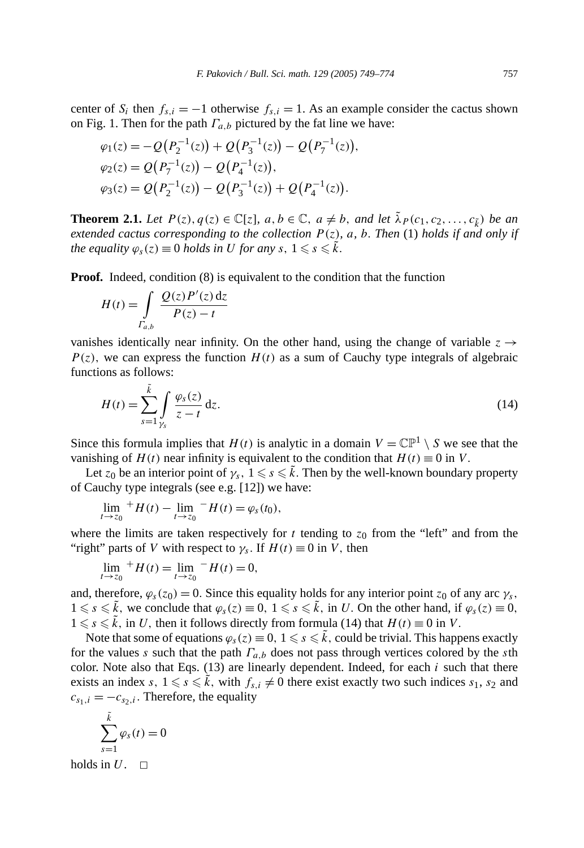center of  $S_i$  then  $f_{s,i} = -1$  otherwise  $f_{s,i} = 1$ . As an example consider the cactus shown on Fig. 1. Then for the path  $\Gamma_{a,b}$  pictured by the fat line we have:

$$
\varphi_1(z) = -Q(P_2^{-1}(z)) + Q(P_3^{-1}(z)) - Q(P_7^{-1}(z)),
$$
  
\n
$$
\varphi_2(z) = Q(P_7^{-1}(z)) - Q(P_4^{-1}(z)),
$$
  
\n
$$
\varphi_3(z) = Q(P_2^{-1}(z)) - Q(P_3^{-1}(z)) + Q(P_4^{-1}(z)).
$$

**Theorem 2.1.** *Let*  $P(z)$ *,*  $q(z) \in \mathbb{C}[z]$ *,*  $a, b \in \mathbb{C}$ *,*  $a \neq b$ *,* and let  $\tilde{\lambda}_P(c_1, c_2, \ldots, c_{\tilde{k}})$  *be an extended cactus corresponding to the collection*  $P(z)$ *, a, b. Then* (1) *holds if and only if the equality*  $\varphi_s(z) \equiv 0$  *holds in U for any*  $s, 1 \leq s \leq \tilde{k}$ .

**Proof.** Indeed, condition (8) is equivalent to the condition that the function

$$
H(t) = \int\limits_{\Gamma_{a,b}} \frac{Q(z)P'(z) dz}{P(z) - t}
$$

vanishes identically near infinity. On the other hand, using the change of variable  $z \rightarrow$  $P(z)$ , we can express the function  $H(t)$  as a sum of Cauchy type integrals of algebraic functions as follows:

$$
H(t) = \sum_{s=1}^{\tilde{k}} \int_{\gamma_s} \frac{\varphi_s(z)}{z - t} dz.
$$
 (14)

Since this formula implies that  $H(t)$  is analytic in a domain  $V = \mathbb{CP}^1 \setminus S$  we see that the vanishing of  $H(t)$  near infinity is equivalent to the condition that  $H(t) \equiv 0$  in *V*.

Let  $z_0$  be an interior point of  $\gamma_s$ ,  $1 \leq s \leq \tilde{k}$ . Then by the well-known boundary property of Cauchy type integrals (see e.g. [12]) we have:

$$
\lim_{t \to z_0} {}^{+}H(t) - \lim_{t \to z_0} {}^{-}H(t) = \varphi_s(t_0),
$$

where the limits are taken respectively for  $t$  tending to  $z<sub>0</sub>$  from the "left" and from the "right" parts of *V* with respect to  $\gamma_s$ . If  $H(t) \equiv 0$  in *V*, then

$$
\lim_{t \to z_0} {}^{+}H(t) = \lim_{t \to z_0} {}^{-}H(t) = 0,
$$

and, therefore,  $\varphi_s(z_0) = 0$ . Since this equality holds for any interior point  $z_0$  of any arc  $\gamma_s$ ,  $1 \le s \le \tilde{k}$ , we conclude that  $\varphi_s(z) \equiv 0, 1 \le s \le \tilde{k}$ , in *U*. On the other hand, if  $\varphi_s(z) \equiv 0$ ,  $1 \le s \le \tilde{k}$ , in *U*, then it follows directly from formula (14) that  $H(t) \equiv 0$  in *V*.

Note that some of equations  $\varphi_s(z) \equiv 0, 1 \leqslant s \leqslant \tilde{k}$ , could be trivial. This happens exactly for the values *s* such that the path *Γa,b* does not pass through vertices colored by the *s*th color. Note also that Eqs. (13) are linearly dependent. Indeed, for each *i* such that there exists an index *s*,  $1 \le s \le \tilde{k}$ , with  $f_{s,i} \neq 0$  there exist exactly two such indices  $s_1$ ,  $s_2$  and  $c_{s_1,i} = -c_{s_2,i}$ . Therefore, the equality

$$
\sum_{s=1}^{\tilde{k}} \varphi_s(t) = 0
$$

holds in  $U$ .  $\square$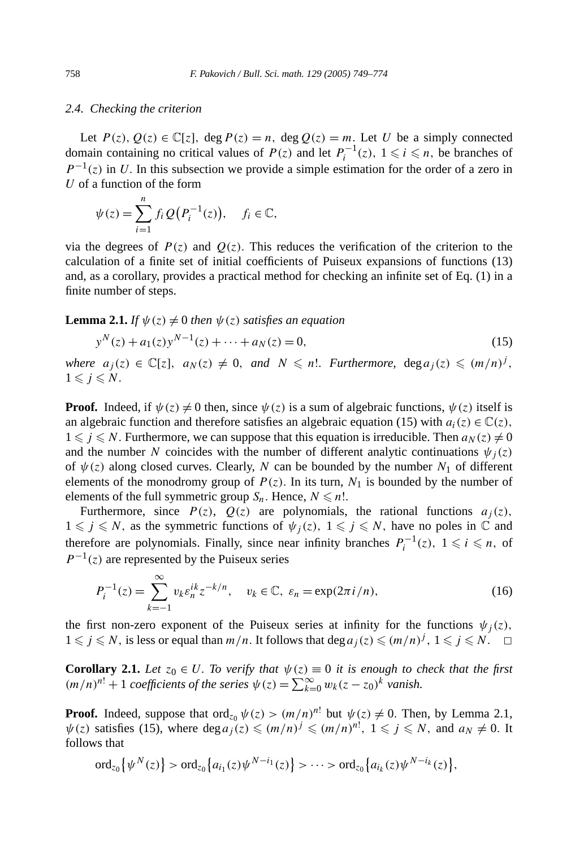#### *2.4. Checking the criterion*

Let  $P(z)$ ,  $Q(z) \in \mathbb{C}[z]$ , deg  $P(z) = n$ , deg  $Q(z) = m$ . Let *U* be a simply connected domain containing no critical values of  $P(z)$  and let  $P_i^{-1}(z)$ ,  $1 \le i \le n$ , be branches of  $P^{-1}(z)$  in *U*. In this subsection we provide a simple estimation for the order of a zero in *U* of a function of the form

$$
\psi(z) = \sum_{i=1}^n f_i Q(P_i^{-1}(z)), \quad f_i \in \mathbb{C},
$$

via the degrees of  $P(z)$  and  $Q(z)$ . This reduces the verification of the criterion to the calculation of a finite set of initial coefficients of Puiseux expansions of functions (13) and, as a corollary, provides a practical method for checking an infinite set of Eq. (1) in a finite number of steps.

**Lemma 2.1.** *If*  $\psi(z) \neq 0$  *then*  $\psi(z)$  *satisfies an equation* 

$$
y^{N}(z) + a_{1}(z)y^{N-1}(z) + \dots + a_{N}(z) = 0,
$$
\n(15)

*where*  $a_j(z) \in \mathbb{C}[z]$ ,  $a_N(z) \neq 0$ , and  $N \leq n!$ . *Furthermore*,  $\deg a_j(z) \leq (m/n)^j$ ,  $1 \leqslant j \leqslant N$ .

**Proof.** Indeed, if  $\psi(z) \neq 0$  then, since  $\psi(z)$  is a sum of algebraic functions,  $\psi(z)$  itself is an algebraic function and therefore satisfies an algebraic equation (15) with  $a_i(z) \in \mathbb{C}(z)$ ,  $1 \leq j \leq N$ . Furthermore, we can suppose that this equation is irreducible. Then  $a_N(z) \neq 0$ and the number *N* coincides with the number of different analytic continuations  $\psi_i(z)$ of  $\psi(z)$  along closed curves. Clearly, *N* can be bounded by the number  $N_1$  of different elements of the monodromy group of  $P(z)$ . In its turn,  $N_1$  is bounded by the number of elements of the full symmetric group  $S_n$ . Hence,  $N \le n!$ .

Furthermore, since  $P(z)$ ,  $Q(z)$  are polynomials, the rational functions  $a_j(z)$ ,  $1 \leq j \leq N$ , as the symmetric functions of  $\psi_j(z)$ ,  $1 \leq j \leq N$ , have no poles in  $\mathbb C$  and therefore are polynomials. Finally, since near infinity branches  $P_i^{-1}(z)$ ,  $1 \le i \le n$ , of  $P^{-1}(z)$  are represented by the Puiseux series

$$
P_i^{-1}(z) = \sum_{k=-1}^{\infty} v_k \varepsilon_n^{ik} z^{-k/n}, \quad v_k \in \mathbb{C}, \ \varepsilon_n = \exp(2\pi i/n), \tag{16}
$$

the first non-zero exponent of the Puiseux series at infinity for the functions  $\psi_i(z)$ ,  $1 \leq j \leq N$ , is less or equal than *m/n*. It follows that deg  $a_j(z) \leq (m/n)^j$ ,  $1 \leq j \leq N$ .  $\Box$ 

**Corollary 2.1.** *Let*  $z_0 \in U$ . To verify that  $\psi(z) \equiv 0$  *it is enough to check that the first*  $(m/n)^{n!}$  + 1 *coefficients of the series*  $\psi(z) = \sum_{k=0}^{\infty} w_k(z - z_0)^k$  *vanish.* 

**Proof.** Indeed, suppose that  $\text{ord}_{z_0} \psi(z) > (m/n)^{n!}$  but  $\psi(z) \neq 0$ . Then, by Lemma 2.1,  $\psi(z)$  satisfies (15), where  $\deg a_j(z) \leqslant (m/n)^j \leqslant (m/n)^{n!}$ ,  $1 \leqslant j \leqslant N$ , and  $a_N \neq 0$ . It follows that

$$
\mathrm{ord}_{z_0}\big\{\psi^N(z)\big\} > \mathrm{ord}_{z_0}\big\{a_{i_1}(z)\psi^{N-i_1}(z)\big\} > \cdots > \mathrm{ord}_{z_0}\big\{a_{i_k}(z)\psi^{N-i_k}(z)\big\},
$$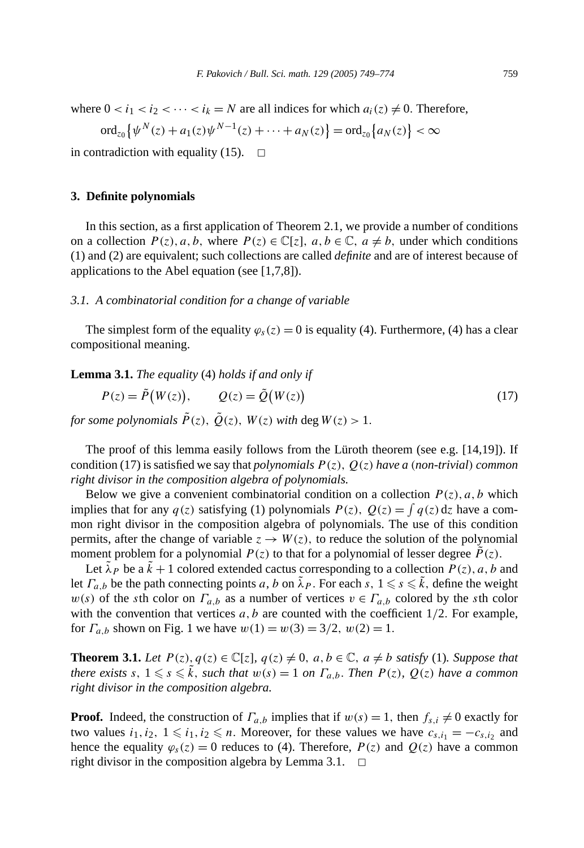where  $0 < i_1 < i_2 < \cdots < i_k = N$  are all indices for which  $a_i(z) \neq 0$ . Therefore,

$$
\mathrm{ord}_{z_0}\big\{\psi^N(z)+a_1(z)\psi^{N-1}(z)+\cdots+a_N(z)\big\}=\mathrm{ord}_{z_0}\big\{a_N(z)\big\}<\infty
$$

in contradiction with equality (15).  $\Box$ 

#### **3. Definite polynomials**

In this section, as a first application of Theorem 2.1, we provide a number of conditions on a collection  $P(z)$ ,  $a, b$ , where  $P(z) \in \mathbb{C}[z]$ ,  $a, b \in \mathbb{C}$ ,  $a \neq b$ , under which conditions (1) and (2) are equivalent; such collections are called *definite* and are of interest because of applications to the Abel equation (see [1,7,8]).

#### *3.1. A combinatorial condition for a change of variable*

The simplest form of the equality  $\varphi_s(z) = 0$  is equality (4). Furthermore, (4) has a clear compositional meaning.

**Lemma 3.1.** *The equality* (4) *holds if and only if*

$$
P(z) = \tilde{P}(W(z)), \qquad Q(z) = \tilde{Q}(W(z))
$$
\n(17)

*for some polynomials*  $\tilde{P}(z)$ ,  $\tilde{Q}(z)$ ,  $W(z)$  with deg  $W(z) > 1$ .

The proof of this lemma easily follows from the Lüroth theorem (see e.g. [14,19]). If condition (17) is satisfied we say that *polynomials*  $P(z)$ ,  $Q(z)$  *have a* (*non-trivial*) *common right divisor in the composition algebra of polynomials.*

Below we give a convenient combinatorial condition on a collection  $P(z)$ ,  $a, b$  which implies that for any  $q(z)$  satisfying (1) polynomials  $P(z)$ ,  $Q(z) = \int q(z) dz$  have a common right divisor in the composition algebra of polynomials. The use of this condition permits, after the change of variable  $z \rightarrow W(z)$ , to reduce the solution of the polynomial moment problem for a polynomial  $P(z)$  to that for a polynomial of lesser degree  $P(z)$ .

Let  $\lambda_P$  be a  $k + 1$  colored extended cactus corresponding to a collection  $P(z)$ , a, b and let  $\Gamma_{a,b}$  be the path connecting points *a*, *b* on  $\tilde{\lambda}_P$ . For each *s*,  $1 \le s \le \tilde{k}$ , define the weight  $w(s)$  of the *s*th color on  $\Gamma_{a,b}$  as a number of vertices  $v \in \Gamma_{a,b}$  colored by the *s*th color with the convention that vertices  $a, b$  are counted with the coefficient  $1/2$ . For example, for  $\Gamma_{a,b}$  shown on Fig. 1 we have  $w(1) = w(3) = 3/2$ ,  $w(2) = 1$ .

**Theorem 3.1.** Let  $P(z)$ ,  $q(z) \in \mathbb{C}[z]$ ,  $q(z) \neq 0$ ,  $a, b \in \mathbb{C}$ ,  $a \neq b$  *satisfy* (1)*. Suppose that*  $a$  *there exists*  $s, 1 \leq s \leq \tilde{k}$ , such that  $w(s) = 1$  on  $\Gamma_{a,b}$ . Then  $P(z), Q(z)$  have a common *right divisor in the composition algebra.*

**Proof.** Indeed, the construction of  $\Gamma_{a,b}$  implies that if  $w(s) = 1$ , then  $f_{s,i} \neq 0$  exactly for two values  $i_1, i_2, 1 \leq i_1, i_2 \leq n$ . Moreover, for these values we have  $c_{s,i_1} = -c_{s,i_2}$  and hence the equality  $\varphi_s(z) = 0$  reduces to (4). Therefore,  $P(z)$  and  $Q(z)$  have a common right divisor in the composition algebra by Lemma 3.1.  $\Box$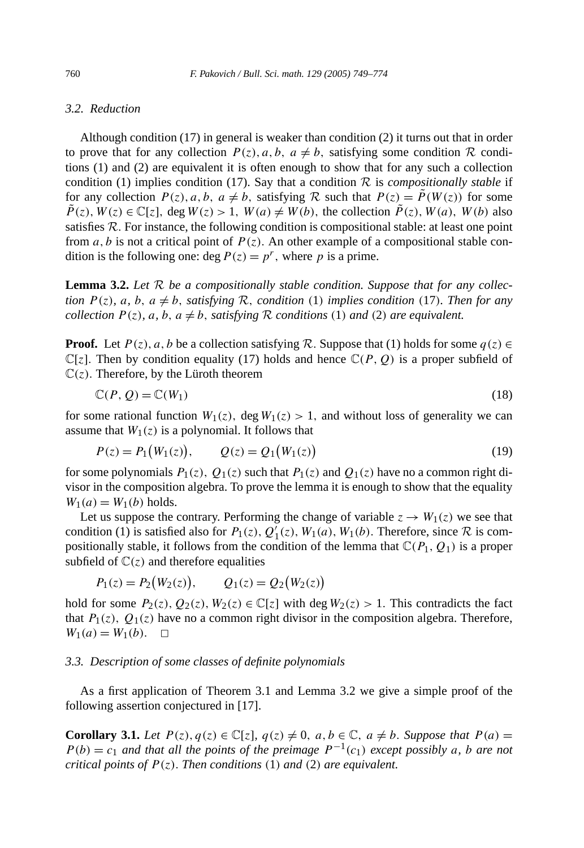#### *3.2. Reduction*

Although condition (17) in general is weaker than condition (2) it turns out that in order to prove that for any collection  $P(z)$ ,  $a, b, a \neq b$ , satisfying some condition R conditions (1) and (2) are equivalent it is often enough to show that for any such a collection condition (1) implies condition (17). Say that a condition  $R$  is *compositionally stable* if for any collection  $P(z)$ ,  $a, b, a \neq b$ , satisfying R such that  $P(z) = \tilde{P}(W(z))$  for some  $\overline{P}(z)$ ,  $W(z) \in \mathbb{C}[z]$ , deg  $W(z) > 1$ ,  $W(a) \neq W(b)$ , the collection  $\overline{P}(z)$ ,  $W(a)$ ,  $W(b)$  also satisfies R*.* For instance, the following condition is compositional stable: at least one point from *a*, *b* is not a critical point of  $P(z)$ . An other example of a compositional stable condition is the following one: deg  $P(z) = p^r$ , where *p* is a prime.

**Lemma 3.2.** *Let* R *be a compositionally stable condition. Suppose that for any collection*  $P(z)$ *, a, b, a*  $\neq$  *b, satisfying* R*, condition* (1) *implies condition* (17*). Then for any collection*  $P(z)$ *,*  $a$ *,*  $b$ *,*  $a \neq b$ *, satisfying*  $R$  *conditions* (1) *and* (2) *are equivalent.* 

**Proof.** Let  $P(z)$ ,  $a, b$  be a collection satisfying R. Suppose that (1) holds for some  $q(z) \in$  $\mathbb{C}[z]$ . Then by condition equality (17) holds and hence  $\mathbb{C}(P, Q)$  is a proper subfield of  $\mathbb{C}(z)$ . Therefore, by the Lüroth theorem

$$
\mathbb{C}(P,Q) = \mathbb{C}(W_1) \tag{18}
$$

for some rational function  $W_1(z)$ , deg  $W_1(z) > 1$ , and without loss of generality we can assume that  $W_1(z)$  is a polynomial. It follows that

$$
P(z) = P_1(W_1(z)), \qquad Q(z) = Q_1(W_1(z))
$$
\n(19)

for some polynomials  $P_1(z)$ ,  $Q_1(z)$  such that  $P_1(z)$  and  $Q_1(z)$  have no a common right divisor in the composition algebra. To prove the lemma it is enough to show that the equality  $W_1(a) = W_1(b)$  holds.

Let us suppose the contrary. Performing the change of variable  $z \rightarrow W_1(z)$  we see that condition (1) is satisfied also for  $P_1(z)$ ,  $Q_1^{\dagger}(z)$ ,  $W_1(a)$ ,  $W_1(b)$ . Therefore, since  $\mathcal R$  is compositionally stable, it follows from the condition of the lemma that  $\mathbb{C}(P_1, Q_1)$  is a proper subfield of  $\mathbb{C}(z)$  and therefore equalities

$$
P_1(z) = P_2(W_2(z)), \qquad Q_1(z) = Q_2(W_2(z))
$$

hold for some  $P_2(z)$ ,  $Q_2(z)$ ,  $W_2(z) \in \mathbb{C}[z]$  with deg  $W_2(z) > 1$ . This contradicts the fact that  $P_1(z)$ ,  $Q_1(z)$  have no a common right divisor in the composition algebra. Therefore,  $W_1(a) = W_1(b)$ .  $\Box$ 

#### *3.3. Description of some classes of definite polynomials*

As a first application of Theorem 3.1 and Lemma 3.2 we give a simple proof of the following assertion conjectured in [17].

**Corollary 3.1.** *Let*  $P(z)$ *,*  $q(z) \in \mathbb{C}[z]$ *,*  $q(z) \neq 0$ *, a, b*  $\in \mathbb{C}$ *, a*  $\neq$  *b. Suppose that*  $P(a)$  =  $P(b) = c_1$  *and that all the points of the preimage*  $P^{-1}(c_1)$  *except possibly a, b are not critical points of*  $P(z)$ *. Then conditions* (1) *and* (2) *are equivalent.*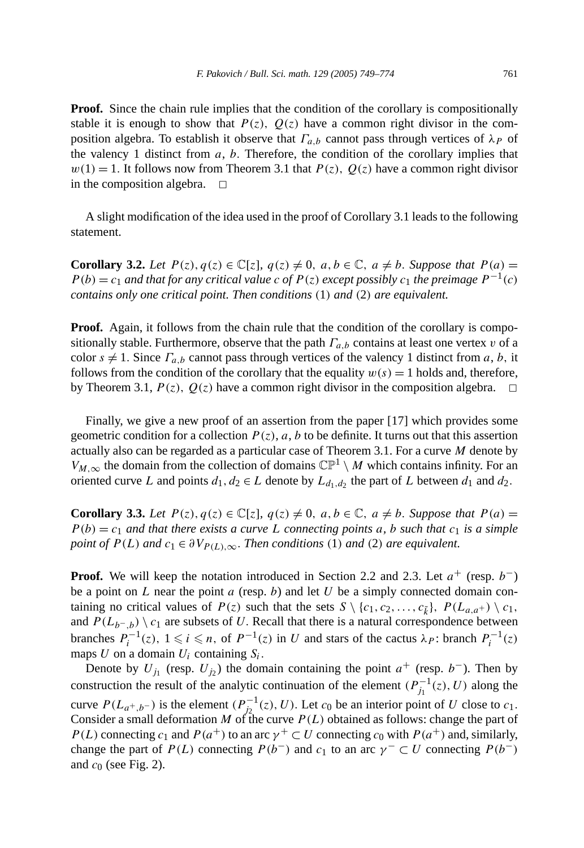**Proof.** Since the chain rule implies that the condition of the corollary is compositionally stable it is enough to show that  $P(z)$ ,  $Q(z)$  have a common right divisor in the composition algebra. To establish it observe that  $\Gamma_{a,b}$  cannot pass through vertices of  $\lambda_P$  of the valency 1 distinct from *a*, *b.* Therefore, the condition of the corollary implies that  $w(1) = 1$ . It follows now from Theorem 3.1 that  $P(z)$ ,  $Q(z)$  have a common right divisor in the composition algebra.  $\Box$ 

A slight modification of the idea used in the proof of Corollary 3.1 leads to the following statement.

**Corollary 3.2.** *Let*  $P(z)$ *,*  $q(z) \in \mathbb{C}[z]$ *,*  $q(z) \neq 0$ *,*  $a, b \in \mathbb{C}$ *,*  $a \neq b$ *. Suppose that*  $P(a) =$  $P(b) = c_1$  *and that for any critical value c of*  $P(z)$  *except possibly*  $c_1$  *the preimage*  $P^{-1}(c)$ *contains only one critical point. Then conditions (*1*) and (*2*) are equivalent.*

**Proof.** Again, it follows from the chain rule that the condition of the corollary is compositionally stable. Furthermore, observe that the path  $\Gamma_{a,b}$  contains at least one vertex *v* of a color  $s \neq 1$ . Since  $\Gamma_{a,b}$  cannot pass through vertices of the valency 1 distinct from *a*, *b*, it follows from the condition of the corollary that the equality  $w(s) = 1$  holds and, therefore, by Theorem 3.1,  $P(z)$ ,  $Q(z)$  have a common right divisor in the composition algebra.  $\Box$ 

Finally, we give a new proof of an assertion from the paper [17] which provides some geometric condition for a collection  $P(z)$ , *a*, *b* to be definite. It turns out that this assertion actually also can be regarded as a particular case of Theorem 3.1. For a curve *M* denote by *V<sub>M*, $\infty$ </sub> the domain from the collection of domains  $\mathbb{CP}^1 \setminus M$  which contains infinity. For an oriented curve *L* and points  $d_1, d_2 \in L$  denote by  $L_{d_1, d_2}$  the part of *L* between  $d_1$  and  $d_2$ .

**Corollary 3.3.** Let  $P(z)$ ,  $q(z) \in \mathbb{C}[z]$ ,  $q(z) \neq 0$ ,  $a, b \in \mathbb{C}$ ,  $a \neq b$ . Suppose that  $P(a) =$  $P(b) = c_1$  *and that there exists a curve* L *connecting points a*, *b such that*  $c_1$  *is a simple point of*  $P(L)$  *and*  $c_1 \in \partial V_{P(L),\infty}$ *. Then conditions* (1*) and* (2*) are equivalent.* 

**Proof.** We will keep the notation introduced in Section 2.2 and 2.3. Let  $a^+$  (resp.  $b^-$ ) be a point on *L* near the point *a* (resp. *b*) and let *U* be a simply connected domain containing no critical values of  $P(z)$  such that the sets  $S \setminus \{c_1, c_2, \ldots, c_{\tilde{k}}\}, P(L_{a,a+}) \setminus c_1$ , and  $P(L_{b^-},b) \setminus c_1$  are subsets of *U*. Recall that there is a natural correspondence between branches  $P_i^{-1}(z)$ ,  $1 \le i \le n$ , of  $P^{-1}(z)$  in *U* and stars of the cactus  $\lambda_P$ : branch  $P_i^{-1}(z)$ maps  $U$  on a domain  $U_i$  containing  $S_i$ .

Denote by  $U_{j_1}$  (resp.  $U_{j_2}$ ) the domain containing the point  $a^+$  (resp.  $b^-$ ). Then by construction the result of the analytic continuation of the element  $(P_{j_1}^{-1}(z), U)$  along the curve  $P(L_{a^+,b^-})$  is the element  $(P_{j_2}^{-1}(z), U)$ . Let  $c_0$  be an interior point of *U* close to  $c_1$ . Consider a small deformation *M* of the curve  $P(L)$  obtained as follows: change the part of *P(L)* connecting  $c_1$  and  $P(a^+)$  to an arc  $\gamma^+ \subset U$  connecting  $c_0$  with  $P(a^+)$  and, similarly, change the part of *P(L)* connecting *P(b<sup>−</sup>)* and *c*<sub>1</sub> to an arc  $\gamma$ <sup>*-*</sup>  $\subset U$  connecting *P(b<sup>−</sup>)* and *c*<sup>0</sup> (see Fig. 2).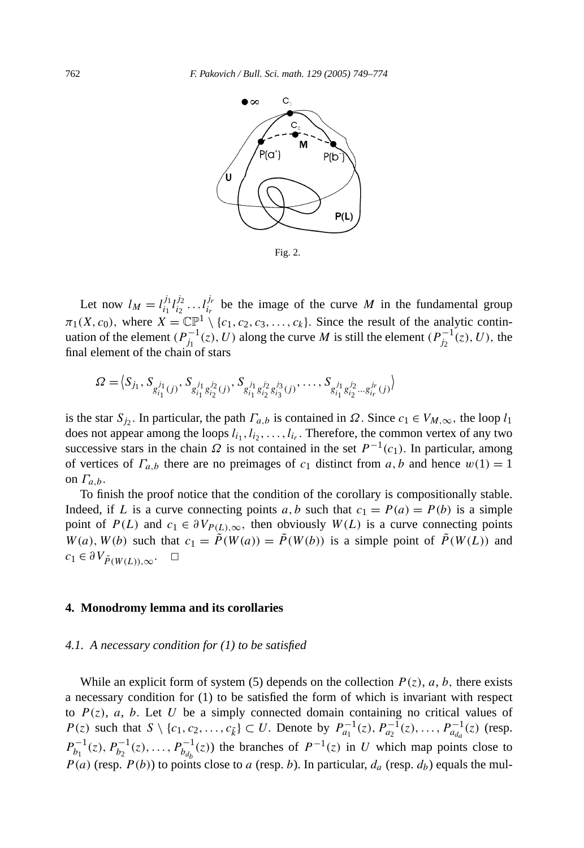

Let now  $l_M = l_{i_1}^{j_1} l_{i_2}^{j_2} \dots l_{i_r}^{j_r}$  be the image of the curve *M* in the fundamental group  $\pi_1(X, c_0)$ , where  $X = \mathbb{CP}^1 \setminus \{c_1, c_2, c_3, \ldots, c_k\}$ . Since the result of the analytic continuation of the element  $(P_{j_1}^{-1}(z), U)$  along the curve *M* is still the element  $(P_{j_2}^{-1}(z), U)$ , the final element of the chain of stars

$$
\Omega = \langle S_{j_1}, S_{g_{i_1}^{j_1}(j)}, S_{g_{i_1}^{j_1}g_{i_2}^{j_2}(j)}, S_{g_{i_1}^{j_1}g_{i_2}^{j_2}g_{i_3}^{j_3}(j)}, \dots, S_{g_{i_1}^{j_1}g_{i_2}^{j_2}...g_{i_r}^{j_r}(j)} \rangle
$$

is the star  $S_j$ . In particular, the path  $\Gamma_{a,b}$  is contained in  $\Omega$ . Since  $c_1 \in V_{M,\infty}$ , the loop  $l_1$ does not appear among the loops  $l_{i_1}, l_{i_2}, \ldots, l_{i_r}$ . Therefore, the common vertex of any two successive stars in the chain  $\Omega$  is not contained in the set  $P^{-1}(c_1)$ . In particular, among of vertices of  $\Gamma_{a,b}$  there are no preimages of  $c_1$  distinct from  $a, b$  and hence  $w(1) = 1$ on  $\Gamma_{a,b}$ .

To finish the proof notice that the condition of the corollary is compositionally stable. Indeed, if *L* is a curve connecting points *a*, *b* such that  $c_1 = P(a) = P(b)$  is a simple point of  $P(L)$  and  $c_1 \in \partial V_{P(L),\infty}$ , then obviously  $W(L)$  is a curve connecting points  $W(a)$ ,  $W(b)$  such that  $c_1 = \tilde{P}(W(a)) = \tilde{P}(W(b))$  is a simple point of  $\tilde{P}(W(L))$  and  $c_1 \in \partial V_{\tilde{P}(W(L)),\infty}$ . □

#### **4. Monodromy lemma and its corollaries**

#### *4.1. A necessary condition for (1) to be satisfied*

While an explicit form of system (5) depends on the collection  $P(z)$ ,  $a$ ,  $b$ , there exists a necessary condition for (1) to be satisfied the form of which is invariant with respect to  $P(z)$ ,  $a$ ,  $b$ . Let  $U$  be a simply connected domain containing no critical values of *P*(*z*) such that *S* \ {*c*<sub>1</sub>*, c*<sub>2</sub>*,...,c*<sub>*k*</sub>} ⊂ *U*. Denote by  $P_{a_1}^{-1}(z), P_{a_2}^{-1}(z), \ldots, P_{a_{d_a}}^{-1}(z)$  (resp.  $P_{b_1}^{-1}(z)$ ,  $P_{b_2}^{-1}(z)$ , ...,  $P_{b_{d_b}}^{-1}(z)$  the branches of  $P^{-1}(z)$  in *U* which map points close to  $P(a)$  (resp.  $P(b)$ ) to points close to *a* (resp. *b*). In particular,  $d_a$  (resp.  $d_b$ ) equals the mul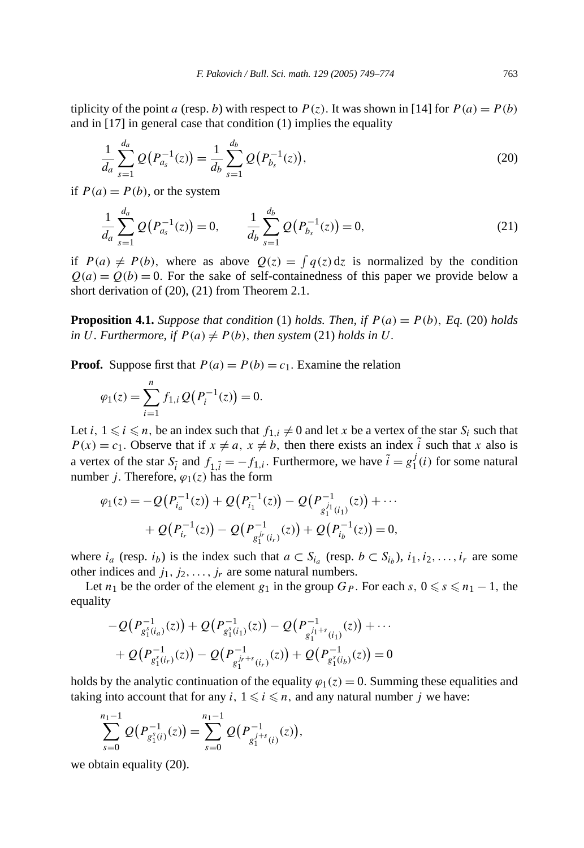tiplicity of the point *a* (resp. *b*) with respect to  $P(z)$ . It was shown in [14] for  $P(a) = P(b)$ and in [17] in general case that condition (1) implies the equality

$$
\frac{1}{d_a} \sum_{s=1}^{d_a} Q(P_{a_s}^{-1}(z)) = \frac{1}{d_b} \sum_{s=1}^{d_b} Q(P_{b_s}^{-1}(z)),
$$
\n(20)

if  $P(a) = P(b)$ , or the system

$$
\frac{1}{d_a} \sum_{s=1}^{d_a} Q(P_{a_s}^{-1}(z)) = 0, \qquad \frac{1}{d_b} \sum_{s=1}^{d_b} Q(P_{b_s}^{-1}(z)) = 0,
$$
\n(21)

if  $P(a) \neq P(b)$ , where as above  $Q(z) = \int q(z) dz$  is normalized by the condition  $Q(a) = Q(b) = 0$ . For the sake of self-containedness of this paper we provide below a short derivation of (20), (21) from Theorem 2.1.

**Proposition 4.1.** *Suppose that condition* (1) *holds. Then, if*  $P(a) = P(b)$ *, Eq.* (20) *holds in U. Furthermore, if*  $P(a) \neq P(b)$ *, then system* (21) *holds in U.* 

**Proof.** Suppose first that  $P(a) = P(b) = c_1$ . Examine the relation

$$
\varphi_1(z) = \sum_{i=1}^n f_{1,i} \, Q\big(P_i^{-1}(z)\big) = 0.
$$

Let *i*,  $1 \le i \le n$ , be an index such that  $f_{1,i} \ne 0$  and let *x* be a vertex of the star  $S_i$  such that  $P(x) = c_1$ . Observe that if  $x \neq a$ ,  $x \neq b$ , then there exists an index i such that *x* also is a vertex of the star  $S_{\tilde{i}}$  and  $f_{1,\tilde{i}} = -f_{1,i}$ . Furthermore, we have  $\tilde{i} = g_1^j(i)$  for some natural number *j*. Therefore,  $\varphi_1(z)$  has the form

$$
\varphi_1(z) = -Q(P_{i_a}^{-1}(z)) + Q(P_{i_1}^{-1}(z)) - Q(P_{g_1^{j_1}(i_1)}^{-1}(z)) + \cdots + Q(P_{i_r}^{-1}(z)) - Q(P_{g_1^{j_r}(i_r)}^{-1}(z)) + Q(P_{i_b}^{-1}(z)) = 0,
$$

where  $i_a$  (resp.  $i_b$ ) is the index such that  $a \subset S_{i_a}$  (resp.  $b \subset S_{i_b}$ ),  $i_1, i_2, \ldots, i_r$  are some other indices and  $j_1, j_2, \ldots, j_r$  are some natural numbers.

Let  $n_1$  be the order of the element  $g_1$  in the group  $G_P$ . For each  $s, 0 \le s \le n_1 - 1$ , the equality

$$
-Q(P_{g_1^s(i_a)}^{-1}(z)) + Q(P_{g_1^s(i_1)}^{-1}(z)) - Q(P_{g_1^{j_1+s}(i_1)}^{-1}(z)) + \cdots + Q(P_{g_1^s(i_r)}^{-1}(z)) - Q(P_{g_1^{j_r+s}(i_r)}^{-1}(z)) + Q(P_{g_1^s(i_b)}^{-1}(z)) = 0
$$

holds by the analytic continuation of the equality  $\varphi_1(z) = 0$ . Summing these equalities and taking into account that for any  $i, 1 \leq i \leq n$ , and any natural number  $j$  we have:

$$
\sum_{s=0}^{n_1-1} Q(P_{g_1^s(i)}^{-1}(z)) = \sum_{s=0}^{n_1-1} Q(P_{g_1^{j+s}(i)}^{-1}(z)),
$$

we obtain equality (20).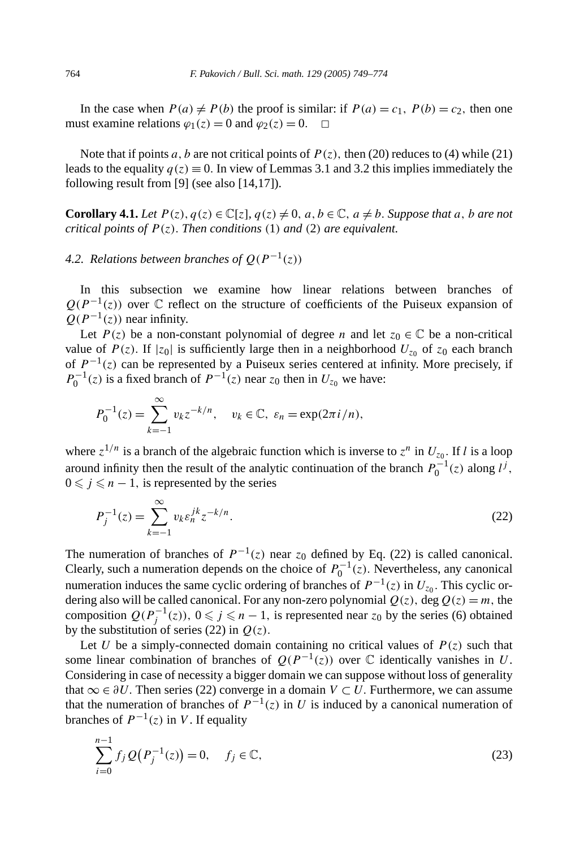In the case when  $P(a) \neq P(b)$  the proof is similar: if  $P(a) = c_1$ ,  $P(b) = c_2$ , then one must examine relations  $\varphi_1(z) = 0$  and  $\varphi_2(z) = 0$ .  $\Box$ 

Note that if points *a*, *b* are not critical points of  $P(z)$ , then (20) reduces to (4) while (21) leads to the equality  $q(z) \equiv 0$ . In view of Lemmas 3.1 and 3.2 this implies immediately the following result from [9] (see also [14,17]).

**Corollary 4.1.** *Let*  $P(z)$ ,  $q(z) \in \mathbb{C}[z]$ ,  $q(z) \neq 0$ ,  $a, b \in \mathbb{C}$ ,  $a \neq b$ . Suppose that a, b are not *critical points of P (z). Then conditions (*1*) and (*2*) are equivalent.*

## *4.2. Relations between branches of*  $Q(P^{-1}(z))$

In this subsection we examine how linear relations between branches of  $Q(P^{-1}(z))$  over  $\mathbb C$  reflect on the structure of coefficients of the Puiseux expansion of  $Q(P^{-1}(z))$  near infinity.

Let  $P(z)$  be a non-constant polynomial of degree *n* and let  $z_0 \in \mathbb{C}$  be a non-critical value of  $P(z)$ . If  $|z_0|$  is sufficiently large then in a neighborhood  $U_{z_0}$  of  $z_0$  each branch of  $P^{-1}(z)$  can be represented by a Puiseux series centered at infinity. More precisely, if  $P_0^{-1}(z)$  is a fixed branch of  $P^{-1}(z)$  near  $z_0$  then in  $U_{z_0}$  we have:

$$
P_0^{-1}(z) = \sum_{k=-1}^{\infty} v_k z^{-k/n}, \quad v_k \in \mathbb{C}, \ \varepsilon_n = \exp(2\pi i/n),
$$

where  $z^{1/n}$  is a branch of the algebraic function which is inverse to  $z^n$  in  $U_{z_0}$ . If *l* is a loop around infinity then the result of the analytic continuation of the branch  $P_0^{-1}(z)$  along  $l^j$ ,  $0 \leq j \leq n - 1$ , is represented by the series

$$
P_j^{-1}(z) = \sum_{k=-1}^{\infty} v_k \varepsilon_n^{jk} z^{-k/n}.
$$
 (22)

The numeration of branches of  $P^{-1}(z)$  near  $z_0$  defined by Eq. (22) is called canonical. Clearly, such a numeration depends on the choice of  $P_0^{-1}(z)$ . Nevertheless, any canonical numeration induces the same cyclic ordering of branches of  $P^{-1}(z)$  in  $U_{z0}$ . This cyclic ordering also will be called canonical. For any non-zero polynomial  $Q(z)$ , deg  $Q(z) = m$ , the composition  $Q(P_j^{-1}(z))$ ,  $0 \leq j \leq n - 1$ , is represented near  $z_0$  by the series (6) obtained by the substitution of series (22) in  $Q(z)$ .

Let *U* be a simply-connected domain containing no critical values of  $P(z)$  such that some linear combination of branches of  $Q(P^{-1}(z))$  over  $\mathbb C$  identically vanishes in *U*. Considering in case of necessity a bigger domain we can suppose without loss of generality that  $\infty \in \partial U$ . Then series (22) converge in a domain  $V \subset U$ . Furthermore, we can assume that the numeration of branches of  $P^{-1}(z)$  in *U* is induced by a canonical numeration of branches of  $P^{-1}(z)$  in *V*. If equality

$$
\sum_{i=0}^{n-1} f_j \mathcal{Q}(P_j^{-1}(z)) = 0, \quad f_j \in \mathbb{C}, \tag{23}
$$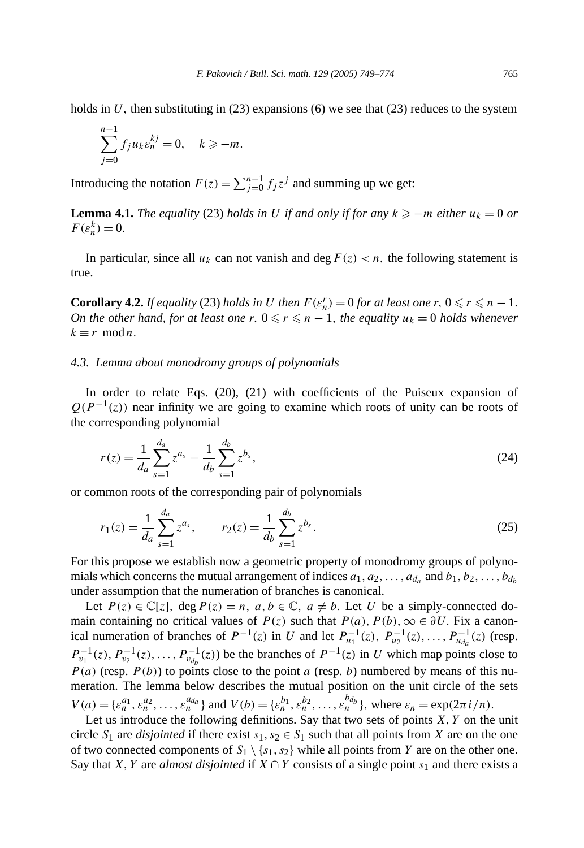holds in U, then substituting in  $(23)$  expansions  $(6)$  we see that  $(23)$  reduces to the system

$$
\sum_{j=0}^{n-1} f_j u_k \varepsilon_n^{kj} = 0, \quad k \ge -m.
$$

Introducing the notation  $F(z) = \sum_{j=0}^{n-1} f_j z^j$  and summing up we get:

**Lemma 4.1.** *The equality* (23) *holds in U if and only if for any*  $k \ge -m$  *either*  $u_k = 0$  *or*  $F(\varepsilon_n^k) = 0.$ 

In particular, since all  $u_k$  can not vanish and deg  $F(z) < n$ , the following statement is true.

**Corollary 4.2.** *If equality* (23) *holds in U then*  $F(\varepsilon_n^r) = 0$  *for at least one*  $r, 0 \le r \le n - 1$ *. On the other hand, for at least one*  $r, 0 \le r \le n - 1$ , the equality  $u_k = 0$  holds whenever  $k \equiv r \mod n$ .

#### *4.3. Lemma about monodromy groups of polynomials*

In order to relate Eqs. (20), (21) with coefficients of the Puiseux expansion of  $Q(P^{-1}(z))$  near infinity we are going to examine which roots of unity can be roots of the corresponding polynomial

$$
r(z) = \frac{1}{d_a} \sum_{s=1}^{d_a} z^{a_s} - \frac{1}{d_b} \sum_{s=1}^{d_b} z^{b_s},
$$
\n(24)

or common roots of the corresponding pair of polynomials

$$
r_1(z) = \frac{1}{d_a} \sum_{s=1}^{d_a} z^{a_s}, \qquad r_2(z) = \frac{1}{d_b} \sum_{s=1}^{d_b} z^{b_s}.
$$
 (25)

For this propose we establish now a geometric property of monodromy groups of polynomials which concerns the mutual arrangement of indices  $a_1, a_2, \ldots, a_d$  and  $b_1, b_2, \ldots, b_{d_h}$ under assumption that the numeration of branches is canonical.

Let  $P(z) \in \mathbb{C}[z]$ , deg  $P(z) = n$ ,  $a, b \in \mathbb{C}$ ,  $a \neq b$ . Let *U* be a simply-connected domain containing no critical values of  $P(z)$  such that  $P(a)$ ,  $P(b)$ ,  $\infty \in \partial U$ . Fix a canonical numeration of branches of  $P^{-1}(z)$  in *U* and let  $P_{u_1}^{-1}(z)$ ,  $P_{u_2}^{-1}(z)$ , ...,  $P_{u_{d_a}}^{-1}(z)$  (resp.  $P_{v_1}^{-1}(z), P_{v_2}^{-1}(z), \ldots, P_{v_{d_b}}^{-1}(z)$  be the branches of  $P^{-1}(z)$  in *U* which map points close to  $P(a)$  (resp.  $P(b)$ ) to points close to the point *a* (resp. *b*) numbered by means of this numeration. The lemma below describes the mutual position on the unit circle of the sets  $V(a) = \{\varepsilon_n^{a_1}, \varepsilon_n^{a_2}, \dots, \varepsilon_n^{a_d}\}\$ and  $V(b) = \{\varepsilon_n^{b_1}, \varepsilon_n^{b_2}, \dots, \varepsilon_n^{b_d}\}\$ , where  $\varepsilon_n = \exp(2\pi i/n)$ .

Let us introduce the following definitions. Say that two sets of points *X, Y* on the unit circle  $S_1$  are *disjointed* if there exist  $s_1, s_2 \in S_1$  such that all points from *X* are on the one of two connected components of  $S_1 \setminus \{s_1, s_2\}$  while all points from *Y* are on the other one. Say that *X, Y* are *almost disjointed* if  $X \cap Y$  consists of a single point  $s_1$  and there exists a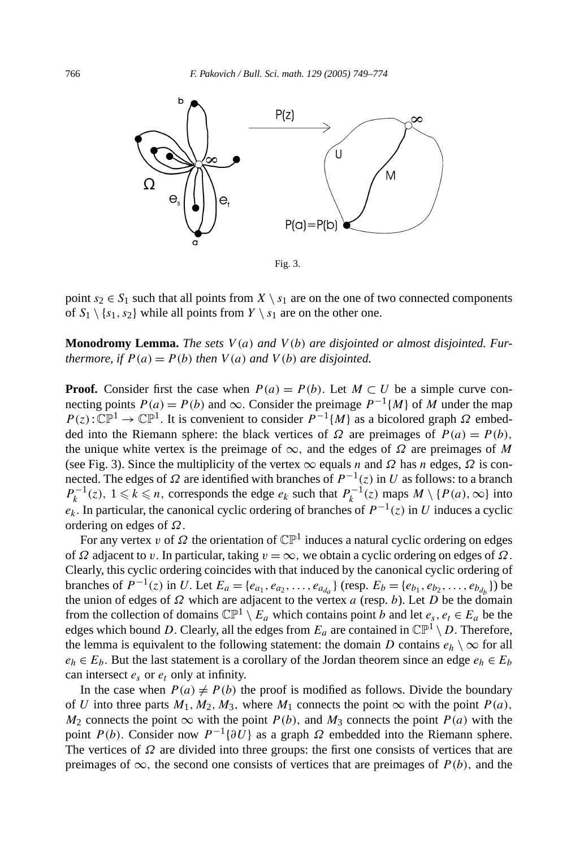

Fig. 3.

point  $s_2 \in S_1$  such that all points from  $X \setminus s_1$  are on the one of two connected components of  $S_1 \setminus \{s_1, s_2\}$  while all points from  $Y \setminus s_1$  are on the other one.

**Monodromy Lemma.** *The sets V (a) and V (b) are disjointed or almost disjointed. Furthermore, if*  $P(a) = P(b)$  *then*  $V(a)$  *and*  $V(b)$  *are disjointed.* 

**Proof.** Consider first the case when  $P(a) = P(b)$ . Let  $M \subset U$  be a simple curve connecting points  $P(a) = P(b)$  and  $\infty$ . Consider the preimage  $P^{-1}{M}$  of *M* under the map  $P(z): \mathbb{CP}^1 \to \mathbb{CP}^1$ . It is convenient to consider  $P^{-1}{M}$  as a bicolored graph  $\Omega$  embedded into the Riemann sphere: the black vertices of  $\Omega$  are preimages of  $P(a) = P(b)$ , the unique white vertex is the preimage of ∞*,* and the edges of *Ω* are preimages of *M* (see Fig. 3). Since the multiplicity of the vertex  $\infty$  equals *n* and  $\Omega$  has *n* edges,  $\Omega$  is connected. The edges of  $Ω$  are identified with branches of  $P^{-1}(z)$  in *U* as follows: to a branch  $P_k^{-1}(z)$ ,  $1 \le k \le n$ , corresponds the edge  $e_k$  such that  $P_k^{-1}(z)$  maps  $M \setminus \{P(a), \infty\}$  into  $e_k$ . In particular, the canonical cyclic ordering of branches of  $P^{-1}(z)$  in *U* induces a cyclic ordering on edges of *Ω.*

For any vertex *v* of  $\Omega$  the orientation of  $\mathbb{CP}^1$  induces a natural cyclic ordering on edges of *Ω* adjacent to *v.* In particular, taking *v* = ∞*,* we obtain a cyclic ordering on edges of *Ω.* Clearly, this cyclic ordering coincides with that induced by the canonical cyclic ordering of branches of *P*<sup>−1</sup>(*z*) in *U*. Let *E<sub>a</sub>* = { $e_{a_1}, e_{a_2}, \ldots, e_{a_{d_a}}$ } (resp. *E<sub>b</sub>* = { $e_{b_1}, e_{b_2}, \ldots, e_{b_{d_b}}$ }) be the union of edges of *Ω* which are adjacent to the vertex *a* (resp. *b*). Let *D* be the domain from the collection of domains  $\mathbb{CP}^1 \setminus E_a$  which contains point *b* and let  $e_s, e_t \in E_a$  be the edges which bound *D*. Clearly, all the edges from  $E_a$  are contained in  $\mathbb{CP}^1 \setminus D$ . Therefore, the lemma is equivalent to the following statement: the domain *D* contains  $e_h \setminus \infty$  for all  $e_h \in E_b$ . But the last statement is a corollary of the Jordan theorem since an edge  $e_h \in E_b$ can intersect  $e_s$  or  $e_t$  only at infinity.

In the case when  $P(a) \neq P(b)$  the proof is modified as follows. Divide the boundary of *U* into three parts  $M_1, M_2, M_3$ , where  $M_1$  connects the point  $\infty$  with the point  $P(a)$ , *M*<sub>2</sub> connects the point  $\infty$  with the point *P(b)*, and *M*<sub>3</sub> connects the point *P(a)* with the point *P(b)*. Consider now  $P^{-1}{\partial U}$  as a graph  $\Omega$  embedded into the Riemann sphere. The vertices of *Ω* are divided into three groups: the first one consists of vertices that are preimages of  $\infty$ , the second one consists of vertices that are preimages of  $P(b)$ , and the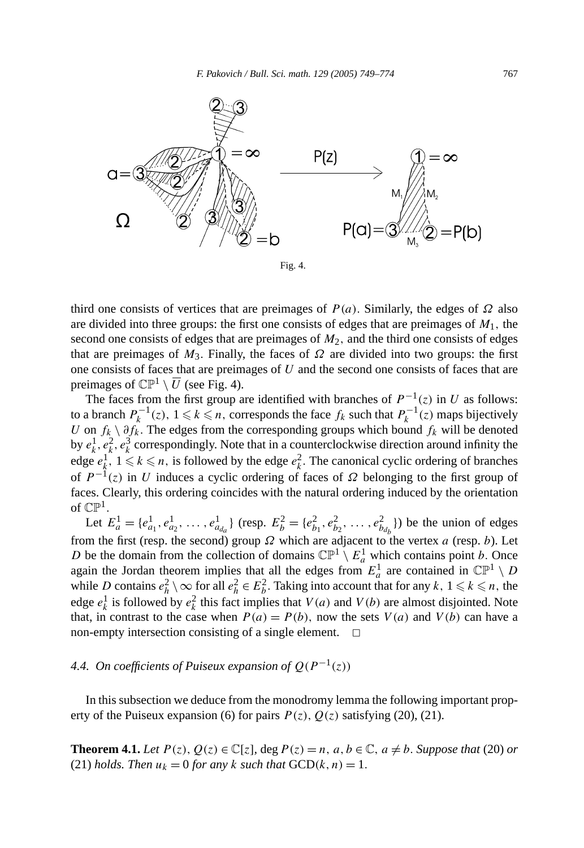



third one consists of vertices that are preimages of *P (a).* Similarly, the edges of *Ω* also are divided into three groups: the first one consists of edges that are preimages of  $M_1$ , the second one consists of edges that are preimages of *M*2*,* and the third one consists of edges that are preimages of  $M_3$ . Finally, the faces of  $\Omega$  are divided into two groups: the first one consists of faces that are preimages of *U* and the second one consists of faces that are preimages of  $\mathbb{CP}^1 \setminus \overline{U}$  (see Fig. 4).

The faces from the first group are identified with branches of  $P^{-1}(z)$  in *U* as follows: to a branch  $P_k^{-1}(z)$ ,  $1 \le k \le n$ , corresponds the face  $f_k$  such that  $P_k^{-1}(z)$  maps bijectively *U* on *fk* \ *∂fk.* The edges from the corresponding groups which bound *fk* will be denoted by  $e_k^1, e_k^2, e_k^3$  correspondingly. Note that in a counterclockwise direction around infinity the edge  $e_k^1$ ,  $1 \le k \le n$ , is followed by the edge  $e_k^2$ . The canonical cyclic ordering of branches of  $P^{-1}(z)$  in *U* induces a cyclic ordering of faces of  $\Omega$  belonging to the first group of faces. Clearly, this ordering coincides with the natural ordering induced by the orientation of  $\mathbb{CP}^1$ .

Let  $E_a^1 = \{e_{a_1}^1, e_{a_2}^1, \dots, e_{a_{d_a}}^1\}$  (resp.  $E_b^2 = \{e_{b_1}^2, e_{b_2}^2, \dots, e_{b_{d_b}}^2\}$ ) be the union of edges from the first (resp. the second) group *Ω* which are adjacent to the vertex *a* (resp. *b*). Let *D* be the domain from the collection of domains  $\mathbb{CP}^1 \setminus E^1_a$  which contains point *b*. Once again the Jordan theorem implies that all the edges from  $E_a^1$  are contained in  $\mathbb{CP}^1 \setminus D$ while *D* contains  $e_h^2 \setminus \infty$  for all  $e_h^2 \in E_b^2$ . Taking into account that for any  $k, 1 \le k \le n$ , the edge  $e_k^1$  is followed by  $e_k^2$  this fact implies that  $V(a)$  and  $V(b)$  are almost disjointed. Note that, in contrast to the case when  $P(a) = P(b)$ , now the sets  $V(a)$  and  $V(b)$  can have a non-empty intersection consisting of a single element.  $\Box$ 

# *4.4. On coefficients of Puiseux expansion of*  $Q(P^{-1}(z))$

In this subsection we deduce from the monodromy lemma the following important property of the Puiseux expansion (6) for pairs  $P(z)$ ,  $Q(z)$  satisfying (20), (21).

**Theorem 4.1.** *Let*  $P(z)$ ,  $Q(z) \in \mathbb{C}[z]$ , deg  $P(z) = n$ ,  $a, b \in \mathbb{C}$ ,  $a \neq b$ . Suppose that (20) or (21) *holds. Then*  $u_k = 0$  *for any*  $k$  *such that*  $GCD(k, n) = 1$ *.*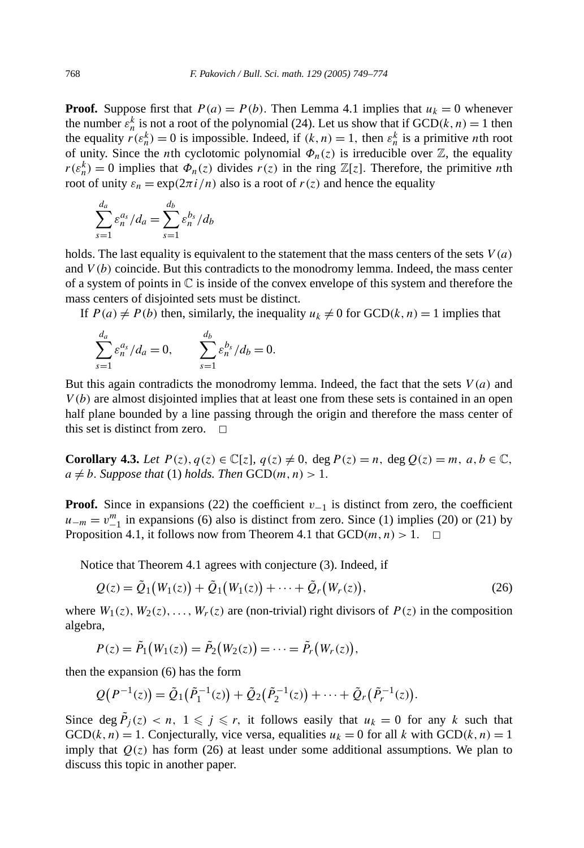**Proof.** Suppose first that  $P(a) = P(b)$ . Then Lemma 4.1 implies that  $u_k = 0$  whenever the number  $\varepsilon_n^k$  is not a root of the polynomial (24). Let us show that if  $GCD(k, n) = 1$  then the equality  $r(\varepsilon_n^k) = 0$  is impossible. Indeed, if  $(k, n) = 1$ , then  $\varepsilon_n^k$  is a primitive *n*th root of unity. Since the *n*th cyclotomic polynomial  $\Phi_n(z)$  is irreducible over  $\mathbb{Z}$ , the equality  $r(\varepsilon_n^k) = 0$  implies that  $\Phi_n(z)$  divides  $r(z)$  in the ring  $\mathbb{Z}[z]$ . Therefore, the primitive *n*th root of unity  $\varepsilon_n = \exp(2\pi i/n)$  also is a root of  $r(z)$  and hence the equality

$$
\sum_{s=1}^{d_a} \varepsilon_n^{a_s} / d_a = \sum_{s=1}^{d_b} \varepsilon_n^{b_s} / d_b
$$

holds. The last equality is equivalent to the statement that the mass centers of the sets *V (a)* and *V (b)* coincide. But this contradicts to the monodromy lemma. Indeed, the mass center of a system of points in  $\mathbb C$  is inside of the convex envelope of this system and therefore the mass centers of disjointed sets must be distinct.

If  $P(a) \neq P(b)$  then, similarly, the inequality  $u_k \neq 0$  for  $GCD(k, n) = 1$  implies that

$$
\sum_{s=1}^{d_a} \varepsilon_n^{a_s} / d_a = 0, \qquad \sum_{s=1}^{d_b} \varepsilon_n^{b_s} / d_b = 0.
$$

But this again contradicts the monodromy lemma. Indeed, the fact that the sets *V (a)* and *V (b)* are almost disjointed implies that at least one from these sets is contained in an open half plane bounded by a line passing through the origin and therefore the mass center of this set is distinct from zero.  $\Box$ 

**Corollary 4.3.** Let  $P(z)$ ,  $q(z) \in \mathbb{C}[z]$ ,  $q(z) \neq 0$ , deg  $P(z) = n$ , deg  $Q(z) = m$ ,  $a, b \in \mathbb{C}$ ,  $a \neq b$ *. Suppose that* (1) *holds. Then*  $GCD(m, n) > 1$ *.* 

**Proof.** Since in expansions (22) the coefficient *v*−<sup>1</sup> is distinct from zero, the coefficient  $u_{-m} = v_{-1}^m$  in expansions (6) also is distinct from zero. Since (1) implies (20) or (21) by Proposition 4.1, it follows now from Theorem 4.1 that  $GCD(m, n) > 1$ .  $\Box$ 

Notice that Theorem 4.1 agrees with conjecture (3). Indeed, if

$$
Q(z) = \tilde{Q}_1(W_1(z)) + \tilde{Q}_1(W_1(z)) + \dots + \tilde{Q}_r(W_r(z)),
$$
\n(26)

where  $W_1(z)$ ,  $W_2(z)$ , ...,  $W_r(z)$  are (non-trivial) right divisors of  $P(z)$  in the composition algebra,

$$
P(z) = \tilde{P}_1(W_1(z)) = \tilde{P}_2(W_2(z)) = \cdots = \tilde{P}_r(W_r(z)),
$$

then the expansion (6) has the form

$$
Q(P^{-1}(z)) = \tilde{Q}_1(\tilde{P}_1^{-1}(z)) + \tilde{Q}_2(\tilde{P}_2^{-1}(z)) + \cdots + \tilde{Q}_r(\tilde{P}_r^{-1}(z)).
$$

Since deg  $\tilde{P}_j(z) < n$ ,  $1 \leq j \leq r$ , it follows easily that  $u_k = 0$  for any k such that GCD( $k, n$ ) = 1. Conjecturally, vice versa, equalities  $u_k = 0$  for all  $k$  with GCD( $k, n$ ) = 1 imply that  $Q(z)$  has form (26) at least under some additional assumptions. We plan to discuss this topic in another paper.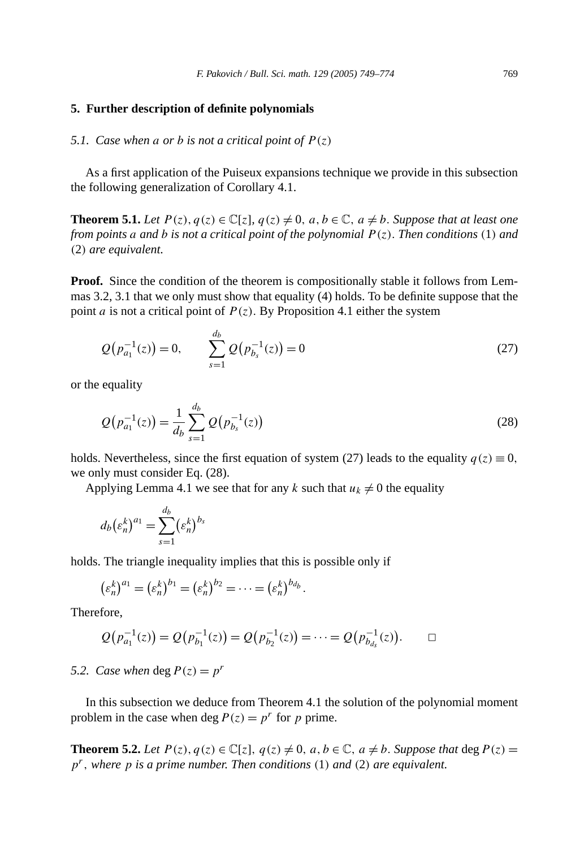#### **5. Further description of definite polynomials**

#### *5.1. Case when a or b is not a critical point of*  $P(z)$

As a first application of the Puiseux expansions technique we provide in this subsection the following generalization of Corollary 4.1.

**Theorem 5.1.** *Let*  $P(z)$ ,  $q(z) \in \mathbb{C}[z]$ ,  $q(z) \neq 0$ ,  $a, b \in \mathbb{C}$ ,  $a \neq b$ . Suppose that at least one *from points a and b is not a critical point of the polynomial*  $P(z)$ *. Then conditions* (1) *and (*2*) are equivalent.*

**Proof.** Since the condition of the theorem is compositionally stable it follows from Lemmas 3.2, 3.1 that we only must show that equality (4) holds. To be definite suppose that the point *a* is not a critical point of  $P(z)$ . By Proposition 4.1 either the system

$$
Q(p_{a_1}^{-1}(z)) = 0, \qquad \sum_{s=1}^{d_b} Q(p_{b_s}^{-1}(z)) = 0 \tag{27}
$$

or the equality

$$
Q(p_{a_1}^{-1}(z)) = \frac{1}{d_b} \sum_{s=1}^{d_b} Q(p_{b_s}^{-1}(z))
$$
\n(28)

holds. Nevertheless, since the first equation of system (27) leads to the equality  $q(z) \equiv 0$ , we only must consider Eq. (28).

Applying Lemma 4.1 we see that for any *k* such that  $u_k \neq 0$  the equality

$$
d_b(\varepsilon_n^k)^{a_1} = \sum_{s=1}^{d_b} (\varepsilon_n^k)^{b_s}
$$

holds. The triangle inequality implies that this is possible only if

$$
(\varepsilon_n^k)^{a_1} = (\varepsilon_n^k)^{b_1} = (\varepsilon_n^k)^{b_2} = \cdots = (\varepsilon_n^k)^{b_{d_b}}.
$$

Therefore,

$$
Q(p_{a_1}^{-1}(z)) = Q(p_{b_1}^{-1}(z)) = Q(p_{b_2}^{-1}(z)) = \cdots = Q(p_{b_{a_s}}^{-1}(z)). \square
$$

*5.2. Case when* deg  $P(z) = p^r$ 

In this subsection we deduce from Theorem 4.1 the solution of the polynomial moment problem in the case when deg  $P(z) = p^r$  for *p* prime.

**Theorem 5.2.** *Let*  $P(z)$ *,*  $q(z) \in \mathbb{C}[z]$ *,*  $q(z) \neq 0$ *, a, b*  $\in \mathbb{C}$ *, a*  $\neq$  *b. Suppose that* deg  $P(z)$  = *pr, where p is a prime number. Then conditions (*1*) and (*2*) are equivalent.*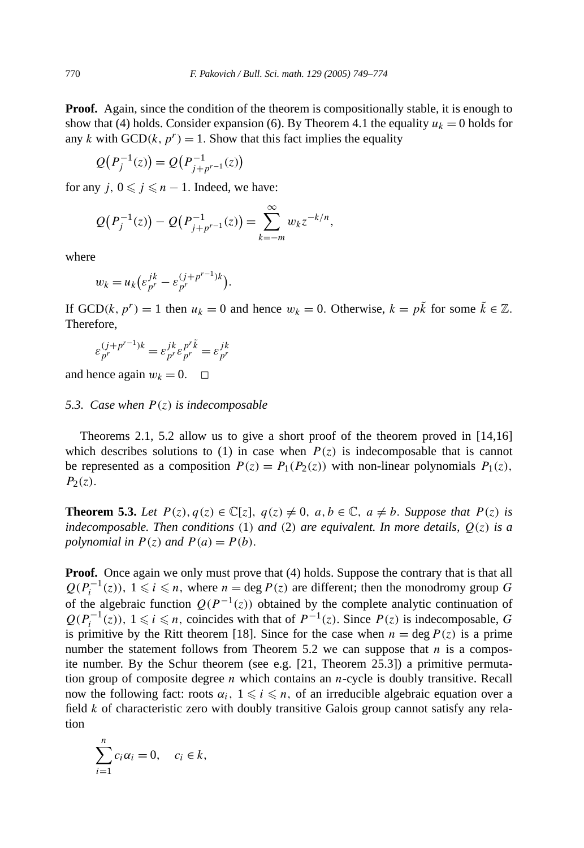**Proof.** Again, since the condition of the theorem is compositionally stable, it is enough to show that (4) holds. Consider expansion (6). By Theorem 4.1 the equality  $u_k = 0$  holds for any *k* with  $\text{GCD}(k, p^r) = 1$ . Show that this fact implies the equality

$$
Q(P_j^{-1}(z)) = Q(P_{j+p^{r-1}}^{-1}(z))
$$

for any  $j, 0 \leq j \leq n - 1$ . Indeed, we have:

$$
Q(P_j^{-1}(z)) - Q(P_{j+p^{r-1}}^{-1}(z)) = \sum_{k=-m}^{\infty} w_k z^{-k/n},
$$

where

$$
w_k = u_k \left( \varepsilon_{p^r}^{jk} - \varepsilon_{p^r}^{(j+p^{r-1})k} \right).
$$

If GCD( $k, p^r$ ) = 1 then  $u_k = 0$  and hence  $w_k = 0$ . Otherwise,  $k = p\tilde{k}$  for some  $\tilde{k} \in \mathbb{Z}$ . Therefore,

$$
\varepsilon_{p^r}^{(j+p^{r-1})k}=\varepsilon_{p^r}^{jk}\varepsilon_{p^r}^{p^r\tilde{k}}=\varepsilon_{p^r}^{jk}
$$

and hence again  $w_k = 0$ .  $\Box$ 

#### *5.3. Case when P (z) is indecomposable*

Theorems 2.1, 5.2 allow us to give a short proof of the theorem proved in [14,16] which describes solutions to (1) in case when  $P(z)$  is indecomposable that is cannot be represented as a composition  $P(z) = P_1(P_2(z))$  with non-linear polynomials  $P_1(z)$ ,  $P_2(z)$ .

**Theorem 5.3.** Let  $P(z)$ ,  $q(z) \in \mathbb{C}[z]$ ,  $q(z) \neq 0$ ,  $a, b \in \mathbb{C}$ ,  $a \neq b$ . Suppose that  $P(z)$  is *indecomposable. Then conditions* (1) *and* (2) *are equivalent. In more details,*  $Q(z)$  *is a polynomial in*  $P(z)$  *and*  $P(a) = P(b)$ .

**Proof.** Once again we only must prove that (4) holds. Suppose the contrary that is that all  $Q(P_i^{-1}(z))$ ,  $1 \le i \le n$ , where  $n = \deg P(z)$  are different; then the monodromy group *G* of the algebraic function  $Q(P^{-1}(z))$  obtained by the complete analytic continuation of  $Q(P_i^{-1}(z))$ ,  $1 \le i \le n$ , coincides with that of  $P^{-1}(z)$ . Since  $P(z)$  is indecomposable, *G* is primitive by the Ritt theorem [18]. Since for the case when  $n = \deg P(z)$  is a prime number the statement follows from Theorem 5.2 we can suppose that *n* is a composite number. By the Schur theorem (see e.g. [21, Theorem 25.3]) a primitive permutation group of composite degree *n* which contains an *n*-cycle is doubly transitive. Recall now the following fact: roots  $\alpha_i$ ,  $1 \leq i \leq n$ , of an irreducible algebraic equation over a field *k* of characteristic zero with doubly transitive Galois group cannot satisfy any relation

$$
\sum_{i=1}^n c_i \alpha_i = 0, \quad c_i \in k,
$$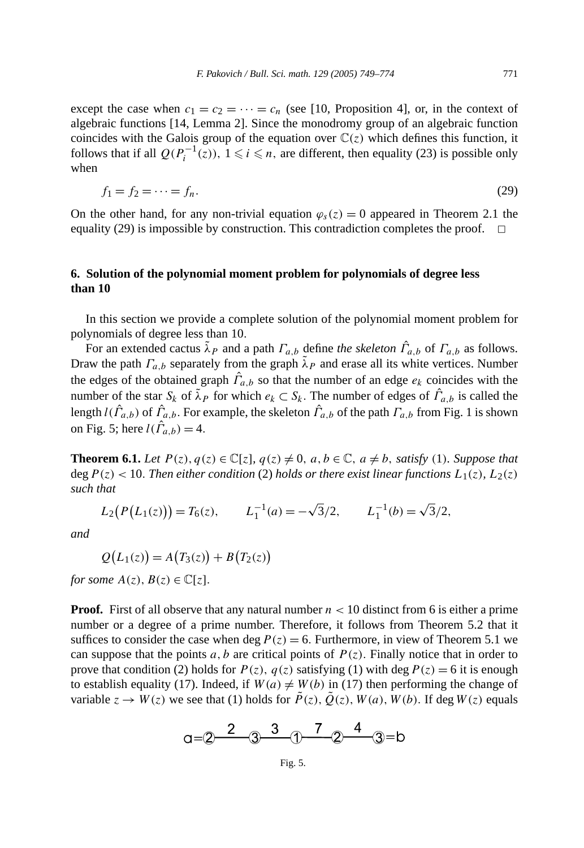except the case when  $c_1 = c_2 = \cdots = c_n$  (see [10, Proposition 4], or, in the context of algebraic functions [14, Lemma 2]. Since the monodromy group of an algebraic function coincides with the Galois group of the equation over  $\mathbb{C}(z)$  which defines this function, it follows that if all  $Q(P_i^{-1}(z))$ ,  $1 \le i \le n$ , are different, then equality (23) is possible only when

$$
f_1 = f_2 = \dots = f_n. \tag{29}
$$

On the other hand, for any non-trivial equation  $\varphi_s(z) = 0$  appeared in Theorem 2.1 the equality (29) is impossible by construction. This contradiction completes the proof.  $\Box$ 

### **6. Solution of the polynomial moment problem for polynomials of degree less than 10**

In this section we provide a complete solution of the polynomial moment problem for polynomials of degree less than 10*.*

For an extended cactus  $\tilde{\lambda}_P$  and a path  $\Gamma_{a,b}$  define *the skeleton*  $\hat{\Gamma}_{a,b}$  of  $\Gamma_{a,b}$  as follows. Draw the path  $\Gamma_{a,b}$  separately from the graph  $\tilde{\lambda}_P$  and erase all its white vertices. Number the edges of the obtained graph *Γ*ˆ *a,b* so that the number of an edge *ek* coincides with the number of the star  $S_k$  of  $\tilde{\lambda}_P$  for which  $e_k \subset S_k$ . The number of edges of  $\hat{\Gamma}_{a,b}$  is called the length  $l(\hat{\Gamma}_{a,b})$  of  $\hat{\Gamma}_{a,b}$ . For example, the skeleton  $\hat{\Gamma}_{a,b}$  of the path  $\Gamma_{a,b}$  from Fig. 1 is shown on Fig. 5; here  $l(\hat{\Gamma}_{a,b}) = 4$ .

**Theorem 6.1.** *Let*  $P(z)$ *,*  $q(z) \in \mathbb{C}[z]$ *,*  $q(z) \neq 0$ *, a, b*  $\in \mathbb{C}$ *, a*  $\neq$  *b, satisfy* (1*). Suppose that* deg  $P(z) < 10$ *. Then either condition* (2) *holds or there exist linear functions*  $L_1(z)$ *,*  $L_2(z)$ *such that*

$$
L_2(P(L_1(z))) = T_6(z),
$$
  $L_1^{-1}(a) = -\sqrt{3}/2,$   $L_1^{-1}(b) = \sqrt{3}/2,$ 

*and*

$$
Q(L_1(z)) = A(T_3(z)) + B(T_2(z))
$$

*for some*  $A(z)$ *,*  $B(z) \in \mathbb{C}[z]$ *.* 

**Proof.** First of all observe that any natural number  $n < 10$  distinct from 6 is either a prime number or a degree of a prime number. Therefore, it follows from Theorem 5.2 that it suffices to consider the case when deg  $P(z) = 6$ . Furthermore, in view of Theorem 5.1 we can suppose that the points *a*, *b* are critical points of  $P(z)$ . Finally notice that in order to prove that condition (2) holds for  $P(z)$ ,  $q(z)$  satisfying (1) with deg  $P(z) = 6$  it is enough to establish equality (17). Indeed, if  $W(a) \neq W(b)$  in (17) then performing the change of variable  $z \to W(z)$  we see that (1) holds for  $\tilde{P}(z)$ ,  $\tilde{Q}(z)$ ,  $W(a)$ ,  $W(b)$ . If deg  $W(z)$  equals

$$
a=2\begin{array}{@{}c@{}}2\end{array}\qquad 3\begin{array}{@{}c@{}}3\end{array}\qquad 7\begin{array}{@{}c@{}}2\end{array}\qquad 4\begin{array}{@{}c@{}}3= b\end{array}
$$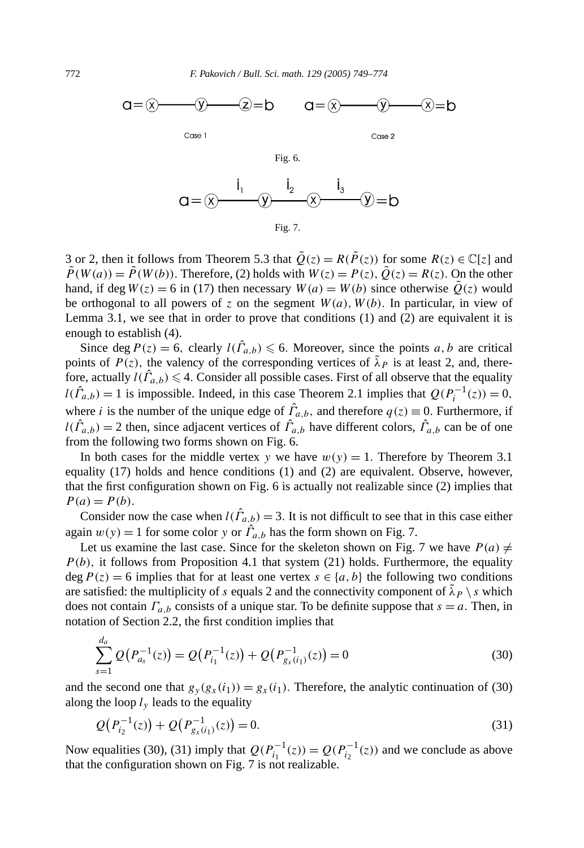

Fig. 7.

3 or 2, then it follows from Theorem 5.3 that  $\tilde{Q}(z) = R(\tilde{P}(z))$  for some  $R(z) \in \mathbb{C}[z]$  and  $\tilde{P}(W(a)) = \tilde{P}(W(b))$ . Therefore, (2) holds with  $W(z) = P(z)$ ,  $\tilde{Q}(z) = R(z)$ . On the other hand, if deg  $W(z) = 6$  in (17) then necessary  $W(a) = W(b)$  since otherwise  $Q(z)$  would be orthogonal to all powers of  $z$  on the segment  $W(a)$ ,  $W(b)$ . In particular, in view of Lemma 3.1, we see that in order to prove that conditions  $(1)$  and  $(2)$  are equivalent it is enough to establish (4).

Since deg  $P(z) = 6$ , clearly  $l(\hat{\Gamma}_{a,b}) \le 6$ . Moreover, since the points *a*, *b* are critical points of  $P(z)$ , the valency of the corresponding vertices of  $\tilde{\lambda}_P$  is at least 2, and, therefore, actually  $l(\hat{\Gamma}_{a,b}) \leq 4$ . Consider all possible cases. First of all observe that the equality  $l(\hat{\Gamma}_{a,b}) = 1$  is impossible. Indeed, in this case Theorem 2.1 implies that  $Q(P_i^{-1}(z)) = 0$ , where *i* is the number of the unique edge of  $\hat{\Gamma}_{a,b}$ , and therefore  $q(z) \equiv 0$ . Furthermore, if  $l(\hat{\Gamma}_{a,b}) = 2$  then, since adjacent vertices of  $\hat{\Gamma}_{a,b}$  have different colors,  $\hat{\Gamma}_{a,b}$  can be of one from the following two forms shown on Fig. 6.

In both cases for the middle vertex *y* we have  $w(y) = 1$ . Therefore by Theorem 3.1 equality (17) holds and hence conditions (1) and (2) are equivalent. Observe, however, that the first configuration shown on Fig. 6 is actually not realizable since (2) implies that  $P(a) = P(b)$ .

Consider now the case when  $l(\hat{\Gamma}_{a,b}) = 3$ . It is not difficult to see that in this case either again  $w(y) = 1$  for some color *y* or  $\hat{\Gamma}_{a,b}$  has the form shown on Fig. 7.

Let us examine the last case. Since for the skeleton shown on Fig. 7 we have  $P(a) \neq$ *P (b),* it follows from Proposition 4.1 that system (21) holds. Furthermore, the equality deg  $P(z) = 6$  implies that for at least one vertex  $s \in \{a, b\}$  the following two conditions are satisfied: the multiplicity of *s* equals 2 and the connectivity component of  $\lambda_P \setminus s$  which does not contain  $\Gamma_{a,b}$  consists of a unique star. To be definite suppose that  $s = a$ . Then, in notation of Section 2.2, the first condition implies that

$$
\sum_{s=1}^{d_a} Q(P_{a_s}^{-1}(z)) = Q(P_{i_1}^{-1}(z)) + Q(P_{g_x(i_1)}^{-1}(z)) = 0
$$
\n(30)

and the second one that  $g_y(g_x(i_1)) = g_x(i_1)$ . Therefore, the analytic continuation of (30) along the loop  $l<sub>v</sub>$  leads to the equality

$$
Q(P_{i_2}^{-1}(z)) + Q(P_{g_x(i_1)}^{-1}(z)) = 0.
$$
\n(31)

Now equalities (30), (31) imply that  $Q(P_{i_1}^{-1}(z)) = Q(P_{i_2}^{-1}(z))$  and we conclude as above that the configuration shown on Fig. 7 is not realizable.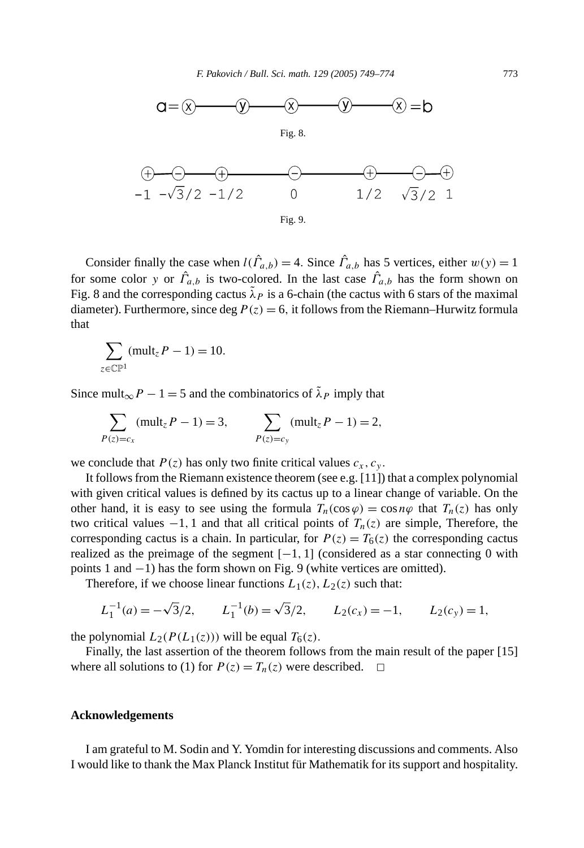

Consider finally the case when  $l(\hat{\Gamma}_{a,b}) = 4$ . Since  $\hat{\Gamma}_{a,b}$  has 5 vertices, either  $w(y) = 1$ for some color *y* or  $\hat{\Gamma}_{a,b}$  is two-colored. In the last case  $\hat{\Gamma}_{a,b}$  has the form shown on Fig. 8 and the corresponding cactus  $\lambda_P$  is a 6-chain (the cactus with 6 stars of the maximal diameter). Furthermore, since deg  $P(z) = 6$ , it follows from the Riemann–Hurwitz formula that

$$
\sum_{z \in \mathbb{CP}^1} (\text{mult}_z P - 1) = 10.
$$

Since mult<sub>∞</sub> $P - 1 = 5$  and the combinatorics of  $\tilde{\lambda}_P$  imply that

$$
\sum_{P(z)=c_x} (mult_z P - 1) = 3, \qquad \sum_{P(z)=c_y} (mult_z P - 1) = 2,
$$

we conclude that  $P(z)$  has only two finite critical values  $c_x$ ,  $c_y$ .

It follows from the Riemann existence theorem (see e.g. [11]) that a complex polynomial with given critical values is defined by its cactus up to a linear change of variable. On the other hand, it is easy to see using the formula  $T_n(\cos \varphi) = \cos n\varphi$  that  $T_n(z)$  has only two critical values  $-1$ , 1 and that all critical points of  $T_n(z)$  are simple, Therefore, the corresponding cactus is a chain. In particular, for  $P(z) = T_6(z)$  the corresponding cactus realized as the preimage of the segment  $[-1, 1]$  (considered as a star connecting 0 with points 1 and −1) has the form shown on Fig. 9 (white vertices are omitted).

Therefore, if we choose linear functions  $L_1(z)$ ,  $L_2(z)$  such that:

$$
L_1^{-1}(a) = -\sqrt{3}/2
$$
,  $L_1^{-1}(b) = \sqrt{3}/2$ ,  $L_2(c_x) = -1$ ,  $L_2(c_y) = 1$ ,

the polynomial  $L_2(P(L_1(z)))$  will be equal  $T_6(z)$ .

Finally, the last assertion of the theorem follows from the main result of the paper [15] where all solutions to (1) for  $P(z) = T_n(z)$  were described.  $\Box$ 

#### **Acknowledgements**

I am grateful to M. Sodin and Y. Yomdin for interesting discussions and comments. Also I would like to thank the Max Planck Institut für Mathematik for its support and hospitality.